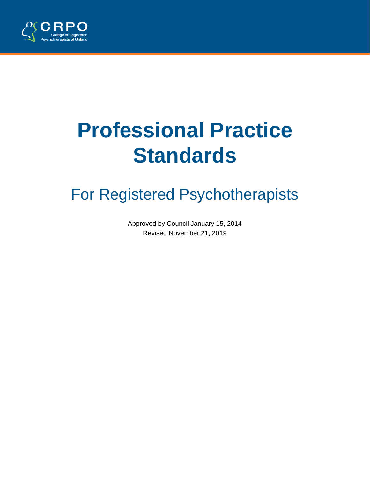

# **Professional Practice Standards**

# For Registered Psychotherapists

Approved by Council January 15, 2014 Revised November 21, 2019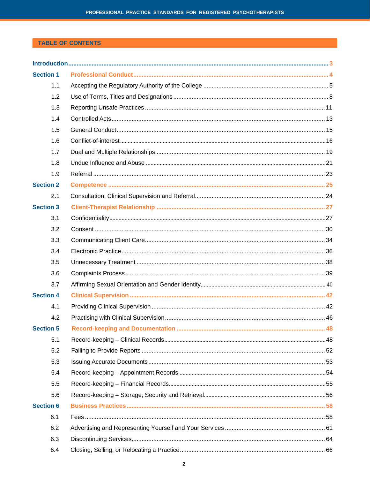# **TABLE OF CONTENTS**

| <b>Section 1</b> |  |
|------------------|--|
| 1.1              |  |
| 1.2              |  |
| 1.3              |  |
| 1.4              |  |
| 1.5              |  |
| 1.6              |  |
| 1.7              |  |
| 1.8              |  |
| 1.9              |  |
| <b>Section 2</b> |  |
| 2.1              |  |
| <b>Section 3</b> |  |
| 3.1              |  |
| 3.2              |  |
| 3.3              |  |
| 3.4              |  |
| 3.5              |  |
| 3.6              |  |
| 3.7              |  |
| <b>Section 4</b> |  |
| 4.1              |  |
| 4.2              |  |
| <b>Section 5</b> |  |
| 5.1              |  |
| 5.2              |  |
| 5.3              |  |
| 5.4              |  |
| 5.5              |  |
| 5.6              |  |
| <b>Section 6</b> |  |
| 6.1              |  |
| 6.2              |  |
| 6.3              |  |
| 6.4              |  |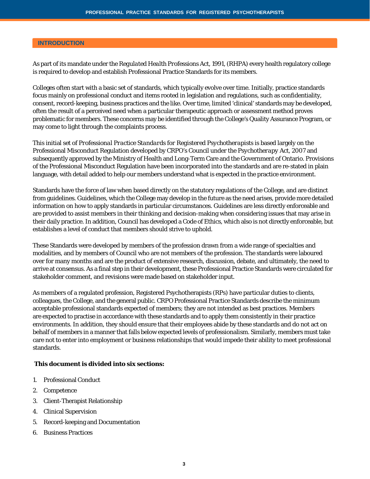#### **INTRODUCTION**

As part of its mandate under the *Regulated Health Professions Act, 1991*, (RHPA) every health regulatory college is required to develop and establish Professional Practice Standards for its members.

Colleges often start with a basic set of standards, which typically evolve over time. Initially, practice standards focus mainly on professional conduct and items rooted in legislation and regulations, such as confidentiality, consent, record-keeping, business practices and the like. Over time, limited 'clinical' standards may be developed, often the result of a perceived need when a particular therapeutic approach or assessment method proves problematic for members. These concerns may be identified through the College's Quality Assurance Program, or may come to light through the complaints process.

This initial set of *Professional Practice Standards for Registered Psychotherapists* is based largely on the Professional Misconduct Regulation developed by CRPO's Council under the *Psychotherapy Act, 2007* and subsequently approved by the Ministry of Health and Long-Term Care and the Government of Ontario. Provisions of the Professional Misconduct Regulation have been incorporated into the standards and are re-stated in plain language, with detail added to help our members understand what is expected in the practice environment.

Standards have the force of law when based directly on the statutory regulations of the College, and are distinct from guidelines. Guidelines, which the College may develop in the future as the need arises, provide more detailed information on how to apply standards in particular circumstances. Guidelines are less directly enforceable and are provided to assist members in their thinking and decision-making when considering issues that may arise in their daily practice. In addition, Council has developed a Code of Ethics, which also is not directly enforceable, but establishes a level of conduct that members should strive to uphold.

These Standards were developed by members of the profession drawn from a wide range of specialties and modalities, and by members of Council who are not members of the profession. The standards were laboured over for many months and are the product of extensive research, discussion, debate, and ultimately, the need to arrive at consensus. As a final step in their development, these Professional Practice Standards were circulated for stakeholder comment, and revisions were made based on stakeholder input.

As members of a regulated profession, Registered Psychotherapists (RPs) have particular duties to clients, colleagues, the College, and the general public. CRPO Professional Practice Standards describe the minimum acceptable professional standards expected of members; they are not intended as best practices. Members are expected to practise in accordance with these standards and to apply them consistently in their practice environments. In addition, they should ensure that their employees abide by these standards and do not act on behalf of members in a manner that falls below expected levels of professionalism. Similarly, members must take care not to enter into employment or business relationships that would impede their ability to meet professional standards.

#### **This document is divided into six sections:**

- 1. Professional Conduct
- 2. Competence
- 3. Client-Therapist Relationship
- 4. Clinical Supervision
- 5. Record-keeping and Documentation
- 6. Business Practices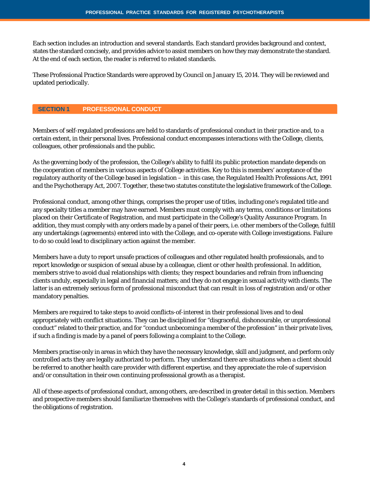Each section includes an introduction and several standards. Each standard provides background and context, states the standard concisely, and provides advice to assist members on how they may demonstrate the standard. At the end of each section, the reader is referred to related standards.

These Professional Practice Standards were approved by Council on January 15, 2014. They will be reviewed and updated periodically.

#### **SECTION 1 PROFESSIONAL CONDUCT**

Members of self-regulated professions are held to standards of professional conduct in their practice and, to a certain extent, in their personal lives. Professional conduct encompasses interactions with the College, clients, colleagues, other professionals and the public.

As the governing body of the profession, the College's ability to fulfil its public protection mandate depends on the cooperation of members in various aspects of College activities. Key to this is members' acceptance of the regulatory authority of the College based in legislation – in this case, the *Regulated Health Professions Act, 1991* and the Psychotherapy Act, 2007. Together, these two statutes constitute the legislative framework of the College.

Professional conduct, among other things, comprises the proper use of titles, including one's regulated title and any specialty titles a member may have earned. Members must comply with any terms, conditions or limitations placed on their Certificate of Registration, and must participate in the College's Quality Assurance Program. In addition, they must comply with any orders made by a panel of their peers, i.e. other members of the College, fulfill any undertakings (agreements) entered into with the College, and co-operate with College investigations. Failure to do so could lead to disciplinary action against the member.

Members have a duty to report unsafe practices of colleagues and other regulated health professionals, and to report knowledge or suspicion of sexual abuse by a colleague, client or other health professional. In addition, members strive to avoid dual relationships with clients; they respect boundaries and refrain from influencing clients unduly, especially in legal and financial matters; and they do not engage in sexual activity with clients. The latter is an extremely serious form of professional misconduct that can result in loss of registration and/or other mandatory penalties.

Members are required to take steps to avoid conflicts-of-interest in their professional lives and to deal appropriately with conflict situations. They can be disciplined for "disgraceful, dishonourable, or unprofessional conduct" related to their practice, and for "conduct unbecoming a member of the profession" in their private lives, if such a finding is made by a panel of peers following a complaint to the College.

Members practise only in areas in which they have the necessary knowledge, skill and judgment, and perform only controlled acts they are legally authorized to perform. They understand there are situations when a client should be referred to another health care provider with different expertise, and they appreciate the role of supervision and/or consultation in their own continuing professsional growth as a therapist.

All of these aspects of professional conduct, among others, are described in greater detail in this section. Members and prospective members should familiarize themselves with the College's standards of professional conduct, and the obligations of registration.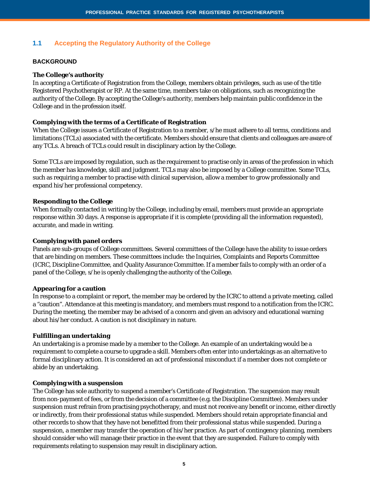# **1.1 Accepting the Regulatory Authority of the College**

#### **BACKGROUND**

#### **The College's authority**

In accepting a Certificate of Registration from the College, members obtain privileges, such as use of the title Registered Psychotherapist or RP. At the same time, members take on obligations, such as recognizing the authority of the College. By accepting the College's authority, members help maintain public confidence in the College and in the profession itself.

#### **Complying with the terms of a Certificate of Registration**

When the College issues a Certificate of Registration to a member, s/he must adhere to all terms, conditions and limitations (TCLs) associated with the certificate. Members should ensure that clients and colleagues are aware of any TCLs. A breach of TCLs could result in disciplinary action by the College.

Some TCLs are imposed by regulation, such as the requirement to practise only in areas of the profession in which the member has knowledge, skill and judgment. TCLs may also be imposed by a College committee. Some TCLs, such as requiring a member to practise with clinical supervision, allow a member to grow professionally and expand his/her professional competency.

#### **Responding to the College**

When formally contacted in writing by the College, including by email, members must provide an appropriate response within 30 days. A response is appropriate if it is complete (providing all the information requested), accurate, and made in writing.

#### **Complying with panel orders**

Panels are sub-groups of College committees. Several committees of the College have the ability to issue orders that are binding on members. These committees include: the Inquiries, Complaints and Reports Committee (ICRC, Discipline Committee, and Quality Assurance Committee. If a member fails to comply with an order of a panel of the College, s/he is openly challenging the authority of the College.

#### **Appearing for a caution**

In response to a complaint or report, the member may be ordered by the ICRC to attend a private meeting, called a "caution". Attendance at this meeting is mandatory, and members must respond to a notification from the ICRC. During the meeting, the member may be advised of a concern and given an advisory and educational warning about his/her conduct. A caution is not disciplinary in nature.

#### **Fulfilling an undertaking**

An undertaking is a promise made by a member to the College. An example of an undertaking would be a requirement to complete a course to upgrade a skill. Members often enter into undertakings as an alternative to formal disciplinary action. It is considered an act of professional misconduct if a member does not complete or abide by an undertaking.

#### **Complying with a suspension**

The College has sole authority to suspend a member's Certificate of Registration. The suspension may result from non-payment of fees, or from the decision of a committee (e.g. the Discipline Committee). Members under suspension must refrain from practising psychotherapy, and must not receive any benefit or income, either directly or indirectly, from their professional status while suspended. Members should retain appropriate financial and other records to show that they have not benefitted from their professional status while suspended. During a suspension, a member may transfer the operation of his/her practice. As part of contingency planning, members should consider who will manage their practice in the event that they are suspended. Failure to comply with requirements relating to suspension may result in disciplinary action.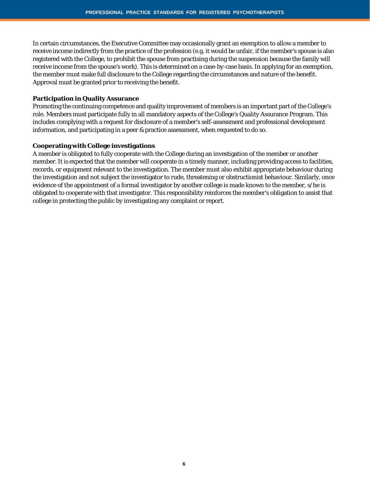In certain circumstances, the Executive Committee may occasionally grant an exemption to allow a member to receive income indirectly from the practice of the profession (e.g. it would be unfair, if the member's spouse is also registered with the College, to prohibit the spouse from practising during the suspension because the family will receive income from the spouse's work). This is determined on a case-by-case basis. In applying for an exemption, the member must make full disclosure to the College regarding the circumstances and nature of the benefit. Approval must be granted prior to receiving the benefit.

#### **Participation in Quality Assurance**

Promoting the continuing competence and quality improvement of members is an important part of the College's role. Members must participate fully in all mandatory aspects of the College's Quality Assurance Program. This includes complying with a request for disclosure of a member's self-assessment and professional development information, and participating in a peer & practice assessment, when requested to do so.

#### **Cooperating with College investigations**

A member is obligated to fully cooperate with the College during an investigation of the member or another member. It is expected that the member will cooperate in a timely manner, including providing access to facilities, records, or equipment relevant to the investigation. The member must also exhibit appropriate behaviour during the investigation and not subject the investigator to rude, threatening or obstructionist behaviour. Similarly, once evidence of the appointment of a formal investigator by another college is made known to the member, s/he is obligated to cooperate with that investigator. This responsibility reinforces the member's obligation to assist that college in protecting the public by investigating any complaint or report.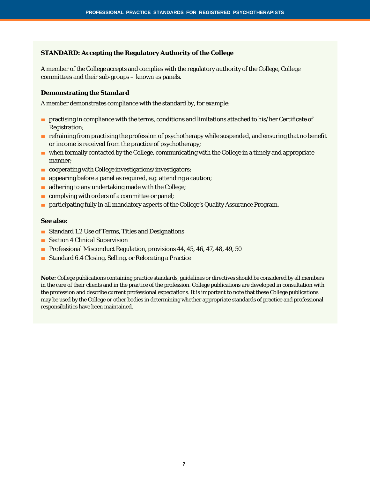#### **STANDARD: Accepting the Regulatory Authority of the College**

A member of the College accepts and complies with the regulatory authority of the College, College committees and their sub-groups – known as panels.

#### **Demonstrating the Standard**

A member demonstrates compliance with the standard by, for example:

- practising in compliance with the terms, conditions and limitations attached to his/her Certificate of Registration;
- refraining from practising the profession of psychotherapy while suspended, and ensuring that no benefit or income is received from the practice of psychotherapy;
- when formally contacted by the College, communicating with the College in a timely and appropriate manner;
- cooperating with College investigations/investigators;
- appearing before a panel as required, e.g. attending a caution;
- adhering to any undertaking made with the College;
- complying with orders of a committee or panel;
- participating fully in all mandatory aspects of the College's Quality Assurance Program.

#### **See also:**

- Standard 1.2 Use of Terms, Titles and Designations
- Section 4 Clinical Supervision
- Professional Misconduct Regulation, provisions 44, 45, 46, 47, 48, 49, 50
- Standard 6.4 Closing, Selling, or Relocating a Practice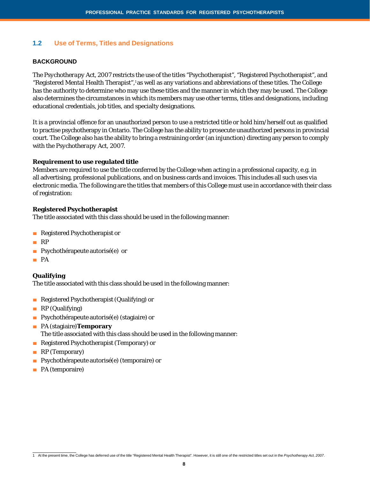# **1.2 Use of Terms, Titles and Designations**

#### **BACKGROUND**

The *Psychotherapy Act, 2007* restricts the use of the titles "Psychotherapist", "Registered Psychotherapist", and "Registered Mental Health Therapist",1 as well as any variations and abbreviations of these titles. The College has the authority to determine who may use these titles and the manner in which they may be used. The College also determines the circumstances in which its members may use other terms, titles and designations, including educational credentials, job titles, and specialty designations.

It is a provincial offence for an unauthorized person to use a restricted title or hold him/herself out as qualified to practise psychotherapy in Ontario. The College has the ability to prosecute unauthorized persons in provincial court. The College also has the ability to bring a restraining order (an injunction) directing any person to comply with the *Psychotherapy Act, 2007*.

#### **Requirement to use regulated title**

Members are required to use the title conferred by the College when acting in a professional capacity, e.g. in all advertising, professional publications, and on business cards and invoices. This includes all such uses via electronic media. The following are the titles that members of this College must use in accordance with their class of registration:

#### **Registered Psychotherapist**

The title associated with this class should be used in the following manner:

- Registered Psychotherapist or
- RP
- Psychothérapeute autorisé(e) or
- PA

#### **Qualifying**

The title associated with this class should be used in the following manner:

- Registered Psychotherapist (Qualifying) or
- RP (Qualifying)
- Psychothérapeute autorisé(e) (stagiaire) or
- PA (stagiaire)**Temporary** The title associated with this class should be used in the following manner:
- Registered Psychotherapist (Temporary) or
- RP (Temporary)
- Psychothérapeute autorisé(e) (temporaire) or
- PA (temporaire)

<sup>1</sup> At the present time, the College has deferred use of the title "Registered Mental Health Therapist". However, it is still one of the restricted titles set out in the *Psychotherapy Act, 2007*.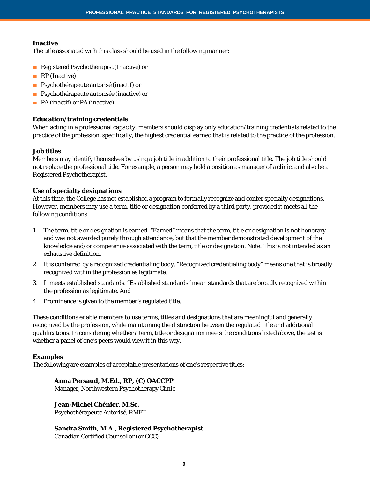#### **Inactive**

The title associated with this class should be used in the following manner:

- Registered Psychotherapist (Inactive) or
- RP (Inactive)
- Psychothérapeute autorisé (inactif) or
- Psychothérapeute autorisée (inactive) or
- PA (inactif) or PA (inactive)

#### **Education/training credentials**

When acting in a professional capacity, members should display only education/training credentials related to the practice of the profession, specifically, the highest credential earned that is related to the practice of the profession.

#### **Job titles**

Members may identify themselves by using a job title in addition to their professional title. The job title should not replace the professional title. For example, a person may hold a position as manager of a clinic, and also be a Registered Psychotherapist.

#### **Use of specialty designations**

At this time, the College has not established a program to formally recognize and confer specialty designations. However, members may use a term, title or designation conferred by a third party, provided it meets all the following conditions:

- 1. The term, title or designation is earned. "Earned" means that the term, title or designation is not honorary and was not awarded purely through attendance, but that the member demonstrated development of the knowledge and/or competence associated with the term, title or designation. Note: This is not intended as an exhaustive definition.
- 2. It is conferred by a recognized credentialing body. "Recognized credentialing body" means one that is broadly recognized within the profession as legitimate.
- 3. It meets established standards. "Established standards" mean standards that are broadly recognized within the profession as legitimate. And
- 4. Prominence is given to the member's regulated title.

These conditions enable members to use terms, titles and designations that are meaningful and generally recognized by the profession, while maintaining the distinction between the regulated title and additional qualifications. In considering whether a term, title or designation meets the conditions listed above, the test is whether a panel of one's peers would view it in this way.

#### **Examples**

The following are examples of acceptable presentations of one's respective titles:

#### **Anna Persaud, M.Ed., RP, (C) OACCPP**

Manager, Northwestern Psychotherapy Clinic

**Jean-Michel Chénier, M.Sc.** Psychothérapeute Autorisé, RMFT

#### **Sandra Smith, M.A., Registered Psychotherapist**

Canadian Certified Counsellor (or CCC)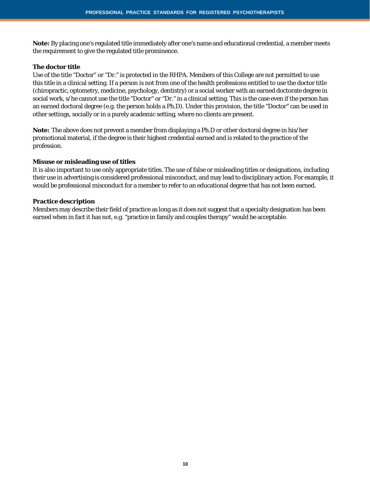**Note:** By placing one's regulated title immediately after one's name and educational credential, a member meets the requirement to give the regulated title prominence.

#### **The doctor title**

Use of the title "Doctor" or "Dr." is protected in the *RHPA*. Members of this College are not permitted to use this title in a clinical setting. If a person is not from one of the health professions entitled to use the doctor title (chiropractic, optometry, medicine, psychology, dentistry) or a social worker with an earned doctorate degree in social work, s/he cannot use the title "Doctor" or "Dr." in a clinical setting. This is the case even if the person has an earned doctoral degree (e.g. the person holds a Ph.D). Under this provision, the title "Doctor" can be used in other settings, socially or in a purely academic setting, where no clients are present.

**Note:** The above does not prevent a member from displaying a Ph.D or other doctoral degree in his/her promotional material, if the degree is their highest credential earned and is related to the practice of the profession.

#### **Misuse or misleading use of titles**

It is also important to use only appropriate titles. The use of false or misleading titles or designations, including their use in advertising is considered professional misconduct, and may lead to disciplinary action. For example, it would be professional misconduct for a member to refer to an educational degree that has not been earned.

#### **Practice description**

Members may describe their field of practice as long as it does not suggest that a specialty designation has been earned when in fact it has not, e.g. "practice in family and couples therapy" would be acceptable.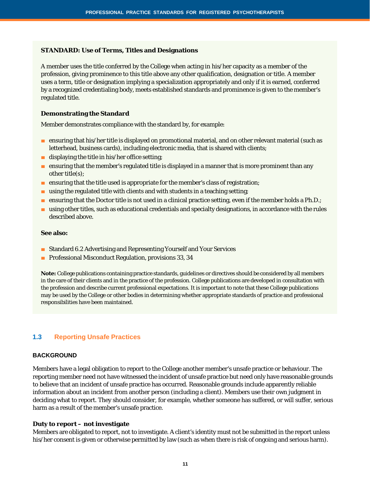#### **STANDARD: Use of Terms, Titles and Designations**

A member uses the title conferred by the College when acting in his/her capacity as a member of the profession, giving prominence to this title above any other qualification, designation or title. A member uses a term, title or designation implying a specialization appropriately and only if it is earned, conferred by a recognized credentialing body, meets established standards and prominence is given to the member's regulated title.

#### **Demonstrating the Standard**

Member demonstrates compliance with the standard by, for example:

- ensuring that his/her title is displayed on promotional material, and on other relevant material (such as letterhead, business cards), including electronic media, that is shared with clients;
- displaying the title in his/her office setting;
- ensuring that the member's regulated title is displayed in a manner that is more prominent than any other title(s);
- ensuring that the title used is appropriate for the member's class of registration;
- using the regulated title with clients and with students in a teaching setting;
- ensuring that the Doctor title is not used in a clinical practice setting, even if the member holds a Ph.D.;
- using other titles, such as educational credentials and specialty designations, in accordance with the rules described above.

#### **See also:**

- Standard 6.2 Advertising and Representing Yourself and Your Services
- Professional Misconduct Regulation, provisions 33, 34

**Note:** College publications containing practice standards, guidelines or directives should be considered by all members in the care of their clients and in the practice of the profession. College publications are developed in consultation with the profession and describe current professional expectations. It is important to note that these College publications may be used by the College or other bodies in determining whether appropriate standards of practice and professional responsibilities have been maintained.

#### **1.3 Reporting Unsafe Practices**

#### **BACKGROUND**

Members have a legal obligation to report to the College another member's unsafe practice or behaviour. The reporting member need not have witnessed the incident of unsafe practice but need only have reasonable grounds to believe that an incident of unsafe practice has occurred. Reasonable grounds include apparently reliable information about an incident from another person (including a client). Members use their own judgment in deciding what to report. They should consider, for example, whether someone has suffered, or will suffer, serious harm as a result of the member's unsafe practice.

#### **Duty to report – not investigate**

Members are obligated to report, not to investigate. A client's identity must not be submitted in the report unless his/her consent is given or otherwise permitted by law (such as when there is risk of ongoing and serious harm).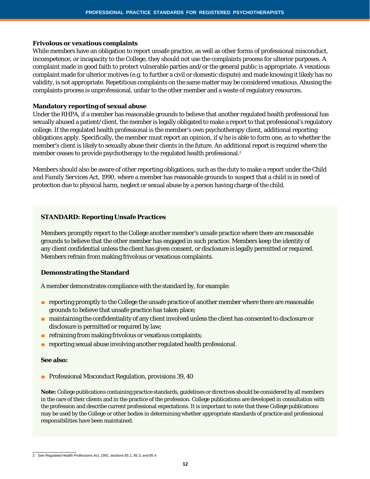#### **Frivolous or vexatious complaints**

While members have an obligation to report unsafe practice, as well as other forms of professional misconduct, incompetence, or incapacity to the College, they should not use the complaints process for ulterior purposes. A complaint made in good faith to protect vulnerable parties and/or the general public is appropriate. A vexatious complaint made for ulterior motives (e.g. to further a civil or domestic dispute) and made knowing it likely has no validity, is not appropriate. Repetitious complaints on the same matter may be considered vexatious. Abusing the complaints process is unprofessional, unfair to the other member and a waste of regulatory resources.

#### **Mandatory reporting of sexual abuse**

Under the *RHPA*, if a member has reasonable grounds to believe that another regulated health professional has sexually abused a patient/client, the member is legally obligated to make a report to that professional's regulatory college. If the regulated health professional is the member's own psychotherapy client, additional reporting obligations apply. Specifically, the member must report an opinion, if s/he is able to form one, as to whether the member's client is likely to sexually abuse their clients in the future. An additional report is required where the member ceases to provide psychotherapy to the regulated health professional.<sup>2</sup>

Members should also be aware of other reporting obligations, such as the duty to make a report under the *Child and Family Services Act, 1990*, where a member has reasonable grounds to suspect that a child is in need of protection due to physical harm, neglect or sexual abuse by a person having charge of the child.

#### **STANDARD: Reporting Unsafe Practices**

Members promptly report to the College another member's unsafe practice where there are reasonable grounds to believe that the other member has engaged in such practice. Members keep the identity of any client confidential unless the client has given consent, or disclosure is legally permitted or required. Members refrain from making frivolous or vexatious complaints.

#### **Demonstrating the Standard**

A member demonstrates compliance with the standard by, for example:

- reporting promptly to the College the unsafe practice of another member where there are reasonable grounds to believe that unsafe practice has taken place;
- maintaining the confidentiality of any client involved unless the client has consented to disclosure or disclosure is permitted or required by law;
- refraining from making frivolous or vexatious complaints;
- reporting sexual abuse involving another regulated health professional.

# **See also:**

■ Professional Misconduct Regulation, provisions 39, 40

<sup>2</sup> See *Regulated Health Professions Act, 1991*, sections 85.1, 85.3, and 85.4.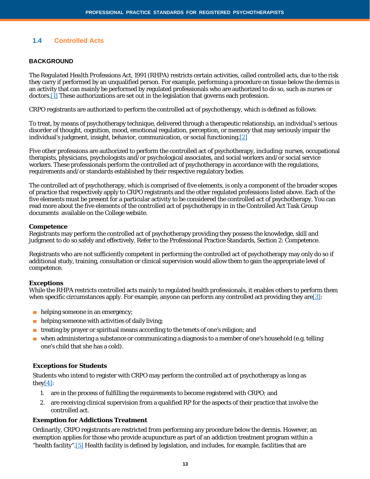# **1.4 Controlled Acts**

#### **BACKGROUND**

The *Regulated Health Professions Act, 1991* (RHPA) restricts certain activities, called controlled acts, due to the risk they carry if performed by an unqualified person. For example, performing a procedure on tissue below the dermis is an activity that can mainly be performed by regulated professionals who are authorized to do so, such as nurses or doctor[s.\[1\]](https://www.crpo.ca/standard-1-4/#_ftn1) These authorizations are set out in the legislation that governs each profession.

CRPO registrants are authorized to perform the controlled act of psychotherapy, which is defined as follows:

To treat, by means of psychotherapy technique, delivered through a therapeutic relationship, an individual's serious disorder of thought, cognition, mood, emotional regulation, perception, or memory that may seriously impair the individual's judgment, insight, behavior, communication, or social functioning[.\[2\]](https://www.crpo.ca/standard-1-4/#_ftn2)

Five other professions are authorized to perform the controlled act of psychotherapy, including: nurses, occupational therapists, physicians, psychologists and/or psychological associates, and social workers and/or social service workers. These professionals perform the controlled act of psychotherapy in accordance with the regulations, requirements and/or standards established by their respective regulatory bodies.

The controlled act of psychotherapy, which is comprised of five elements, is only a component of the broader scopes of practice that respectively apply to CRPO registrants and the other regulated professions listed above. Each of the five elements must be present for a particular activity to be considered the controlled act of psychotherapy. You can read more about the five elements of the controlled act of psychotherapy in in the Controlled Act Task Group documents available on the College website.

#### **Competence**

Registrants may perform the controlled act of psychotherapy providing they possess the knowledge, skill and judgment to do so safely and effectively. Refer to the Professional Practice Standards, Section 2: Competence.

Registrants who are not sufficiently competent in performing the controlled act of psychotherapy may only do so if additional study, training, consultation or clinical supervision would allow them to gain the appropriate level of competence.

#### **Exceptions**

While the RHPA restricts controlled acts mainly to regulated health professionals, it enables others to perform them when specific circumstances apply. For example, anyone can perform any controlled act providing they are  $[3]$ :

- helping someone in an emergency;
- helping someone with activities of daily living;
- treating by prayer or spiritual means according to the tenets of one's religion; and
- when administering a substance or communicating a diagnosis to a member of one's household (e.g. telling one's child that she has a cold).

#### **Exceptions for Students**

Students who intend to register with CRPO may perform the controlled act of psychotherapy as long as they $[4]$ :

- 1. are in the process of fulfilling the requirements to become registered with CRPO; and
- 2. are receiving clinical supervision from a qualified RP for the aspects of their practice that involve the controlled act.

#### **Exemption for Addictions Treatment**

Ordinarily, CRPO registrants are restricted from performing any procedure below the dermis. However, an exemption applies for those who provide acupuncture as part of an addiction treatment program within a "health facility"[.\[5\]](https://www.crpo.ca/standard-1-4/#_ftn5) Health facility is defined by legislation, and includes, for example, facilities that are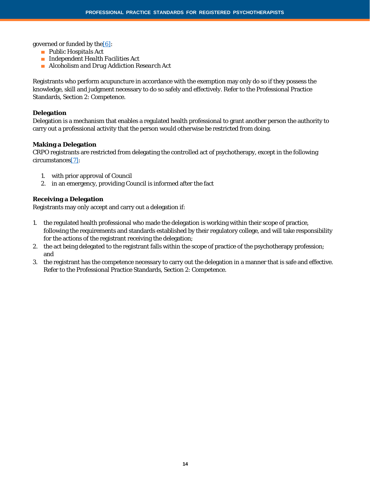governed or funded by the  $[6]$ :

- *Public Hospitals Act*
- *Independent Health Facilities Act*
- *Alcoholism and Drug Addiction Research Act*

Registrants who perform acupuncture in accordance with the exemption may only do so if they possess the knowledge, skill and judgment necessary to do so safely and effectively. Refer to the Professional Practice Standards, Section 2: Competence.

#### **Delegation**

Delegation is a mechanism that enables a regulated health professional to grant another person the authority to carry out a professional activity that the person would otherwise be restricted from doing.

#### **Making a Delegation**

CRPO registrants are restricted from delegating the controlled act of psychotherapy, except in the following circumstance[s\[7\]:](https://www.crpo.ca/standard-1-4/#_ftn7)

- 1. with prior approval of Council
- 2. in an emergency, providing Council is informed after the fact

#### **Receiving a Delegation**

Registrants may only accept and carry out a delegation if:

- 1. the regulated health professional who made the delegation is working within their scope of practice, following the requirements and standards established by their regulatory college, and will take responsibility for the actions of the registrant receiving the delegation;
- 2. the act being delegated to the registrant falls within the scope of practice of the psychotherapy profession; and
- 3. the registrant has the competence necessary to carry out the delegation in a manner that is safe and effective. Refer to the Professional Practice Standards, Section 2: Competence.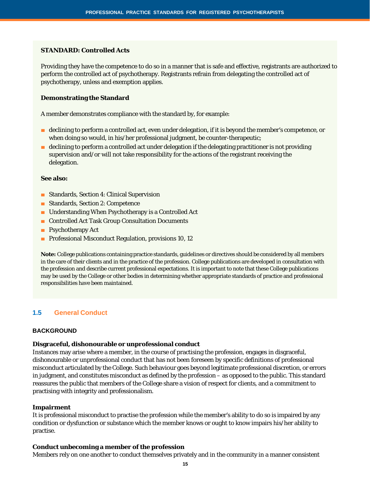#### **STANDARD: Controlled Acts**

Providing they have the competence to do so in a manner that is safe and effective, registrants are authorized to perform the controlled act of psychotherapy. Registrants refrain from delegating the controlled act of psychotherapy, unless and exemption applies.

#### **Demonstrating the Standard**

A member demonstrates compliance with the standard by, for example:

- declining to perform a controlled act, even under delegation, if it is beyond the member's competence, or when doing so would, in his/her professional judgment, be counter-therapeutic;
- declining to perform a controlled act under delegation if the delegating practitioner is not providing supervision and/or will not take responsibility for the actions of the registrant receiving the delegation.

#### **See also:**

- Standards, Section 4: Clinical Supervision
- Standards, Section 2: Competence
- Understanding When Psychotherapy is a Controlled Act
- Controlled Act Task Group Consultation Documents
- Psychotherapy Act
- Professional Misconduct Regulation, provisions 10, 12

**Note:** College publications containing practice standards, guidelines or directives should be considered by all members in the care of their clients and in the practice of the profession. College publications are developed in consultation with the profession and describe current professional expectations. It is important to note that these College publications may be used by the College or other bodies in determining whether appropriate standards of practice and professional responsibilities have been maintained.

#### **1.5 General Conduct**

#### **BACKGROUND**

#### **Disgraceful, dishonourable or unprofessional conduct**

Instances may arise where a member, in the course of practising the profession, engages in disgraceful, dishonourable or unprofessional conduct that has not been foreseen by specific definitions of professional misconduct articulated by the College. Such behaviour goes beyond legitimate professional discretion, or errors in judgment, and constitutes misconduct as defined by the profession – as opposed to the public. This standard reassures the public that members of the College share a vision of respect for clients, and a commitment to practising with integrity and professionalism.

#### **Impairment**

It is professional misconduct to practise the profession while the member's ability to do so is impaired by any condition or dysfunction or substance which the member knows or ought to know impairs his/her ability to practise.

#### **Conduct unbecoming a member of the profession**

Members rely on one another to conduct themselves privately and in the community in a manner consistent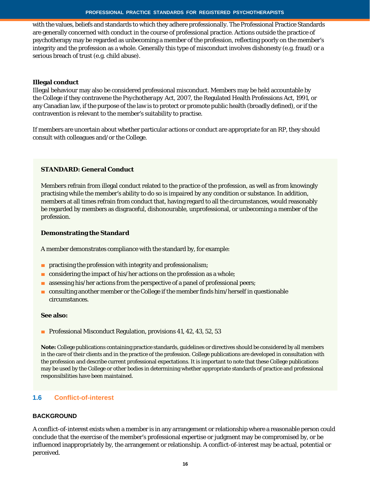with the values, beliefs and standards to which they adhere professionally. The Professional Practice Standards are generally concerned with conduct in the course of professional practice. Actions outside the practice of psychotherapy may be regarded as unbecoming a member of the profession, reflecting poorly on the member's integrity and the profession as a whole. Generally this type of misconduct involves dishonesty (e.g. fraud) or a serious breach of trust (e.g. child abuse).

#### **Illegal conduct**

Illegal behaviour may also be considered professional misconduct. Members may be held accountable by the College if they contravene the *Psychotherapy Act, 2007*, the Regulated Health Professions Act, 1991, or any Canadian law, if the purpose of the law is to protect or promote public health (broadly defined), or if the contravention is relevant to the member's suitability to practise.

If members are uncertain about whether particular actions or conduct are appropriate for an RP, they should consult with colleagues and/or the College.

# **STANDARD: General Conduct**

Members refrain from illegal conduct related to the practice of the profession, as well as from knowingly practising while the member's ability to do so is impaired by any condition or substance. In addition, members at all times refrain from conduct that, having regard to all the circumstances, would reasonably be regarded by members as disgraceful, dishonourable, unprofessional, or unbecoming a member of the profession.

#### **Demonstrating the Standard**

A member demonstrates compliance with the standard by, for example:

- practising the profession with integrity and professionalism;
- considering the impact of his/her actions on the profession as a whole;
- assessing his/her actions from the perspective of a panel of professional peers;
- consulting another member or the College if the member finds him/herself in questionable circumstances.

#### **See also:**

■ Professional Misconduct Regulation, provisions 41, 42, 43, 52, 53

**Note:** College publications containing practice standards, guidelines or directives should be considered by all members in the care of their clients and in the practice of the profession. College publications are developed in consultation with the profession and describe current professional expectations. It is important to note that these College publications may be used by the College or other bodies in determining whether appropriate standards of practice and professional responsibilities have been maintained.

#### **1.6 Conflict-of-interest**

#### **BACKGROUND**

A conflict-of-interest exists when a member is in any arrangement or relationship where a reasonable person could conclude that the exercise of the member's professional expertise or judgment may be compromised by, or be influenced inappropriately by, the arrangement or relationship. A conflict-of-interest may be actual, potential or perceived.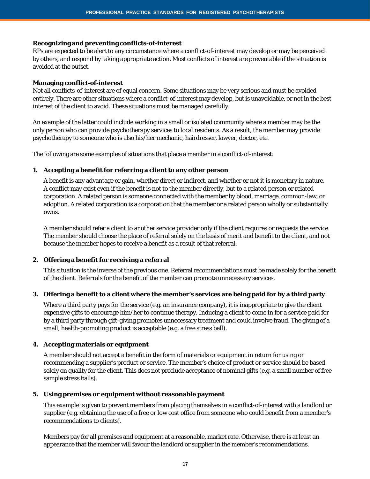#### **Recognizing and preventing conflicts-of-interest**

RPs are expected to be alert to any circumstance where a conflict-of-interest may develop or may be perceived by others, and respond by taking appropriate action. Most conflicts of interest are preventable if the situation is avoided at the outset.

#### **Managing conflict-of-interest**

Not all conflicts-of-interest are of equal concern. Some situations may be very serious and must be avoided entirely. There are other situations where a conflict-of-interest may develop, but is unavoidable, or not in the best interest of the client to avoid. These situations must be managed carefully.

An example of the latter could include working in a small or isolated community where a member may be the only person who can provide psychotherapy services to local residents. As a result, the member may provide psychotherapy to someone who is also his/her mechanic, hairdresser, lawyer, doctor, etc.

The following are some examples of situations that place a member in a conflict-of-interest:

#### **1. Accepting a benefit for referring a client to any other person**

A benefit is any advantage or gain, whether direct or indirect, and whether or not it is monetary in nature. A conflict may exist even if the benefit is not to the member directly, but to a related person or related corporation. A related person is someone connected with the member by blood, marriage, common-law, or adoption. A related corporation is a corporation that the member or a related person wholly or substantially owns.

A member should refer a client to another service provider only if the client requires or requests the service. The member should choose the place of referral solely on the basis of merit and benefit to the client, and not because the member hopes to receive a benefit as a result of that referral.

#### **2. Offering a benefit for receiving a referral**

This situation is the inverse of the previous one. Referral recommendations must be made solely for the benefit of the client. Referrals for the benefit of the member can promote unnecessary services.

#### 3. Offering a benefit to a client where the member's services are being paid for by a third party

Where a third party pays for the service (e.g. an insurance company), it is inappropriate to give the client expensive gifts to encourage him/her to continue therapy. Inducing a client to come in for a service paid for by a third party through gift-giving promotes unnecessary treatment and could involve fraud. The giving of a small, health-promoting product is acceptable (e.g. a free stress ball).

#### **4. Accepting materials or equipment**

A member should not accept a benefit in the form of materials or equipment in return for using or recommending a supplier's product or service. The member's choice of product or service should be based solely on quality for the client. This does not preclude acceptance of nominal gifts (e.g. a small number of free sample stress balls).

#### **5. Using premises or equipment without reasonable payment**

This example is given to prevent members from placing themselves in a conflict-of-interest with a landlord or supplier (e.g. obtaining the use of a free or low cost office from someone who could benefit from a member's recommendations to clients).

Members pay for all premises and equipment at a reasonable, market rate. Otherwise, there is at least an appearance that the member will favour the landlord or supplier in the member's recommendations.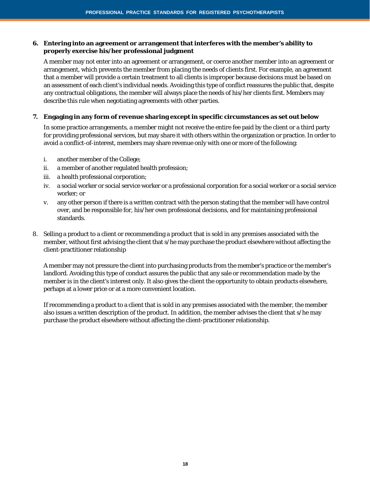#### **6. Entering into an agreement or arrangement that interferes with the member's ability to properly exercise his/her professional judgment**

A member may not enter into an agreement or arrangement, or coerce another member into an agreement or arrangement, which prevents the member from placing the needs of clients first. For example, an agreement that a member will provide a certain treatment to all clients is improper because decisions must be based on an assessment of each client's individual needs. Avoiding this type of conflict reassures the public that, despite any contractual obligations, the member will always place the needs of his/her clients first. Members may describe this rule when negotiating agreements with other parties.

#### **7. Engaging in any form of revenue sharing except in specific circumstances as set out below**

In some practice arrangements, a member might not receive the entire fee paid by the client or a third party for providing professional services, but may share it with others within the organization or practice. In order to avoid a conflict-of-interest, members may share revenue only with one or more of the following:

- i. another member of the College;
- ii. a member of another regulated health profession;
- iii. a health professional corporation;
- iv. a social worker or social service worker or a professional corporation for a social worker or a social service worker; or
- v. any other person if there is a written contract with the person stating that the member will have control over, and be responsible for, his/her own professional decisions, and for maintaining professional standards.
- 8. Selling a product to a client or recommending a product that is sold in any premises associated with the member, without first advising the client that s/he may purchase the product elsewhere without affecting the client-practitioner relationship

A member may not pressure the client into purchasing products from the member's practice or the member's landlord. Avoiding this type of conduct assures the public that any sale or recommendation made by the member is in the client's interest only. It also gives the client the opportunity to obtain products elsewhere, perhaps at a lower price or at a more convenient location.

If recommending a product to a client that is sold in any premises associated with the member, the member also issues a written description of the product. In addition, the member advises the client that s/he may purchase the product elsewhere without affecting the client-practitioner relationship.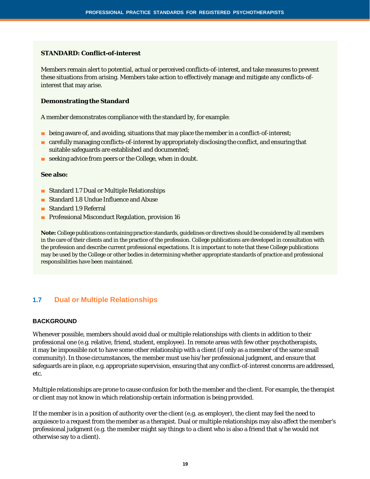#### **STANDARD: Conflict-of-interest**

Members remain alert to potential, actual or perceived conflicts-of-interest, and take measures to prevent these situations from arising. Members take action to effectively manage and mitigate any conflicts-ofinterest that may arise.

# **Demonstrating the Standard**

A member demonstrates compliance with the standard by, for example:

- being aware of, and avoiding, situations that may place the member in a conflict-of-interest;
- carefully managing conflicts-of-interest by appropriately disclosing the conflict, and ensuring that suitable safeguards are established and documented;
- seeking advice from peers or the College, when in doubt.

#### **See also:**

- Standard 1.7 Dual or Multiple Relationships
- Standard 1.8 Undue Influence and Abuse
- Standard 1.9 Referral
- Professional Misconduct Regulation, provision 16

**Note:** College publications containing practice standards, guidelines or directives should be considered by all members in the care of their clients and in the practice of the profession. College publications are developed in consultation with the profession and describe current professional expectations. It is important to note that these College publications may be used by the College or other bodies in determining whether appropriate standards of practice and professional responsibilities have been maintained.

# **1.7 Dual or Multiple Relationships**

#### **BACKGROUND**

Whenever possible, members should avoid dual or multiple relationships with clients in addition to their professional one (e.g. relative, friend, student, employee). In remote areas with few other psychotherapists, it may be impossible not to have some other relationship with a client (if only as a member of the same small community). In those circumstances, the member must use his/her professional judgment, and ensure that safeguards are in place, e.g. appropriate supervision, ensuring that any conflict-of-interest concerns are addressed, etc.

Multiple relationships are prone to cause confusion for both the member and the client. For example, the therapist or client may not know in which relationship certain information is being provided.

If the member is in a position of authority over the client (e.g. as employer), the client may feel the need to acquiesce to a request from the member as a therapist. Dual or multiple relationships may also affect the member's professional judgment (e.g. the member might say things to a client who is also a friend that s/he would not otherwise say to a client).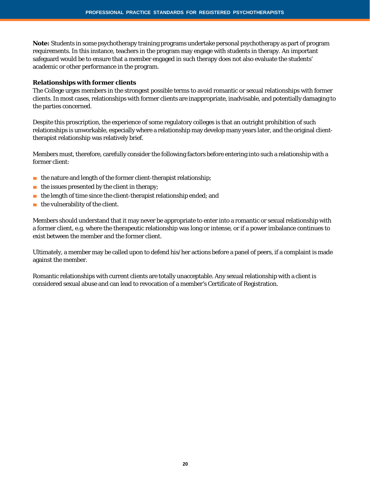**Note:** Students in some psychotherapy training programs undertake personal psychotherapy as part of program requirements. In this instance, teachers in the program may engage with students in therapy. An important safeguard would be to ensure that a member engaged in such therapy does not also evaluate the students' academic or other performance in the program.

#### **Relationships with former clients**

The College urges members in the strongest possible terms to avoid romantic or sexual relationships with former clients. In most cases, relationships with former clients are inappropriate, inadvisable, and potentially damaging to the parties concerned.

Despite this proscription, the experience of some regulatory colleges is that an outright prohibition of such relationships is unworkable, especially where a relationship may develop many years later, and the original clienttherapist relationship was relatively brief.

Members must, therefore, carefully consider the following factors before entering into such a relationship with a former client:

- the nature and length of the former client-therapist relationship;
- $\blacksquare$  the issues presented by the client in therapy;
- the length of time since the client-therapist relationship ended; and
- the vulnerability of the client.

Members should understand that it may never be appropriate to enter into a romantic or sexual relationship with a former client, e.g. where the therapeutic relationship was long or intense, or if a power imbalance continues to exist between the member and the former client.

Ultimately, a member may be called upon to defend his/her actions before a panel of peers, if a complaint is made against the member.

Romantic relationships with current clients are totally unacceptable. Any sexual relationship with a client is considered sexual abuse and can lead to revocation of a member's Certificate of Registration.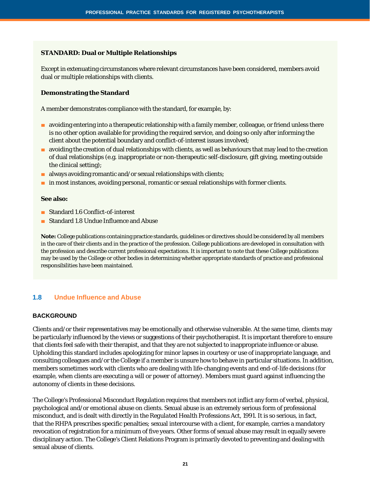#### **STANDARD: Dual or Multiple Relationships**

Except in extenuating circumstances where relevant circumstances have been considered, members avoid dual or multiple relationships with clients.

#### **Demonstrating the Standard**

A member demonstrates compliance with the standard, for example, by:

- avoiding entering into a therapeutic relationship with a family member, colleague, or friend unless there is no other option available for providing the required service, and doing so only after informing the client about the potential boundary and conflict-of-interest issues involved;
- avoiding the creation of dual relationships with clients, as well as behaviours that may lead to the creation of dual relationships (e.g. inappropriate or non-therapeutic self-disclosure, gift giving, meeting outside the clinical setting);
- $\blacksquare$  always avoiding romantic and/or sexual relationships with clients;
- in most instances, avoiding personal, romantic or sexual relationships with former clients.

#### **See also:**

- Standard 1.6 Conflict-of-interest
- Standard 1.8 Undue Influence and Abuse

**Note:** College publications containing practice standards, guidelines or directives should be considered by all members in the care of their clients and in the practice of the profession. College publications are developed in consultation with the profession and describe current professional expectations. It is important to note that these College publications may be used by the College or other bodies in determining whether appropriate standards of practice and professional responsibilities have been maintained.

# **1.8 Undue Influence and Abuse**

#### **BACKGROUND**

Clients and/or their representatives may be emotionally and otherwise vulnerable. At the same time, clients may be particularly influenced by the views or suggestions of their psychotherapist. It is important therefore to ensure that clients feel safe with their therapist, and that they are not subjected to inappropriate influence or abuse. Upholding this standard includes apologizing for minor lapses in courtesy or use of inappropriate language, and consulting colleagues and/or the College if a member is unsure how to behave in particular situations. In addition, members sometimes work with clients who are dealing with life-changing events and end-of-life decisions (for example, when clients are executing a will or power of attorney). Members must guard against influencing the autonomy of clients in these decisions.

The College's Professional Misconduct Regulation requires that members not inflict any form of verbal, physical, psychological and/or emotional abuse on clients. Sexual abuse is an extremely serious form of professional misconduct, and is dealt with directly in the *Regulated Health Professions Act, 1991*. It is so serious, in fact, that the RHPA prescribes specific penalties; sexual intercourse with a client, for example, carries a mandatory revocation of registration for a minimum of five years. Other forms of sexual abuse may result in equally severe disciplinary action. The College's Client Relations Program is primarily devoted to preventing and dealing with sexual abuse of clients.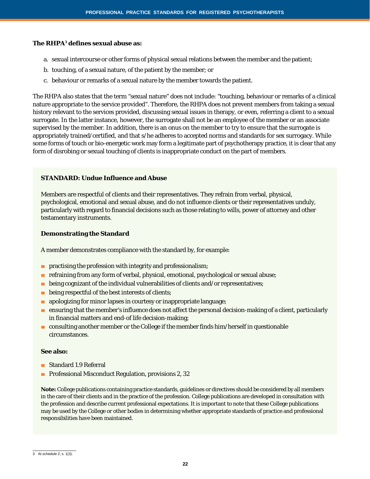#### **The** *RHPA***<sup>3</sup> defines sexual abuse as:**

- a. sexual intercourse or other forms of physical sexual relations between the member and the patient;
- b. touching, of a sexual nature, of the patient by the member; or
- c. behaviour or remarks of a sexual nature by the member towards the patient.

The *RHPA* also states that the term "sexual nature" does not include: "touching, behaviour or remarks of a clinical nature appropriate to the service provided". Therefore, the RHPA does not prevent members from taking a sexual history relevant to the services provided, discussing sexual issues in therapy, or even, referring a client to a sexual surrogate. In the latter instance, however, the surrogate shall not be an employee of the member or an associate supervised by the member. In addition, there is an onus on the member to try to ensure that the surrogate is appropriately trained/certified, and that s/he adheres to accepted norms and standards for sex surrogacy. While some forms of touch or bio-energetic work may form a legitimate part of psychotherapy practice, it is clear that any form of disrobing or sexual touching of clients is inappropriate conduct on the part of members.

#### **STANDARD: Undue Influence and Abuse**

Members are respectful of clients and their representatives. They refrain from verbal, physical, psychological, emotional and sexual abuse, and do not influence clients or their representatives unduly, particularly with regard to financial decisions such as those relating to wills, power of attorney and other testamentary instruments.

#### **Demonstrating the Standard**

A member demonstrates compliance with the standard by, for example:

- **■** practising the profession with integrity and professionalism;
- refraining from any form of verbal, physical, emotional, psychological or sexual abuse;
- $\blacksquare$  being cognizant of the individual vulnerabilities of clients and/or representatives;
- being respectful of the best interests of clients;
- apologizing for minor lapses in courtesy or inappropriate language;
- ensuring that the member's influence does not affect the personal decision-making of a client, particularly in financial matters and end-of life decision-making;
- consulting another member or the College if the member finds him/herself in questionable circumstances.

#### **See also:**

- Standard 1.9 Referral
- Professional Misconduct Regulation, provisions 2, 32

 $\overline{3}$  At schedule 2, s. 1(3).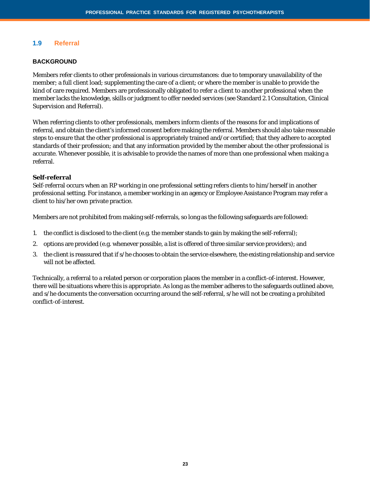# **1.9 Referral**

#### **BACKGROUND**

Members refer clients to other professionals in various circumstances: due to temporary unavailability of the member; a full client load; supplementing the care of a client; or where the member is unable to provide the kind of care required. Members are professionally obligated to refer a client to another professional when the member lacks the knowledge, skills or judgment to offer needed services (see Standard 2.1 Consultation, Clinical Supervision and Referral).

When referring clients to other professionals, members inform clients of the reasons for and implications of referral, and obtain the client's informed consent before making the referral. Members should also take reasonable steps to ensure that the other professional is appropriately trained and/or certified; that they adhere to accepted standards of their profession; and that any information provided by the member about the other professional is accurate. Whenever possible, it is advisable to provide the names of more than one professional when making a referral.

#### **Self-referral**

Self-referral occurs when an RP working in one professional setting refers clients to him/herself in another professional setting. For instance, a member working in an agency or Employee Assistance Program may refer a client to his/her own private practice.

Members are not prohibited from making self-referrals, so long as the following safeguards are followed:

- 1. the conflict is disclosed to the client (e.g. the member stands to gain by making the self-referral);
- 2. options are provided (e.g. whenever possible, a list is offered of three similar service providers); and
- 3. the client is reassured that if s/he chooses to obtain the service elsewhere, the existing relationship and service will not be affected.

Technically, a referral to a related person or corporation places the member in a conflict-of-interest. However, there will be situations where this is appropriate. As long as the member adheres to the safeguards outlined above, and s/he documents the conversation occurring around the self-referral, s/he will not be creating a prohibited conflict-of-interest.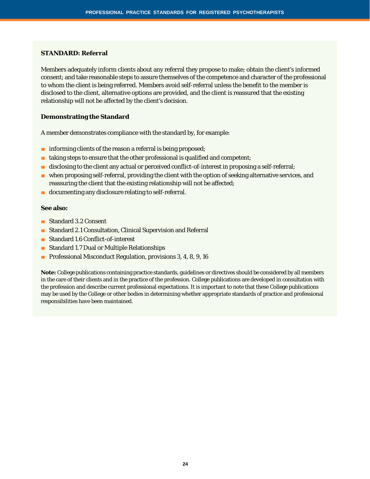#### **STANDARD: Referral**

Members adequately inform clients about any referral they propose to make; obtain the client's informed consent; and take reasonable steps to assure themselves of the competence and character of the professional to whom the client is being referred. Members avoid self-referral unless the benefit to the member is disclosed to the client, alternative options are provided, and the client is reassured that the existing relationship will not be affected by the client's decision.

#### **Demonstrating the Standard**

A member demonstrates compliance with the standard by, for example:

- informing clients of the reason a referral is being proposed;
- $\blacksquare$  taking steps to ensure that the other professional is qualified and competent;
- disclosing to the client any actual or perceived conflict-of-interest in proposing a self-referral;
- when proposing self-referral, providing the client with the option of seeking alternative services, and reassuring the client that the existing relationship will not be affected;
- documenting any disclosure relating to self-referral.

#### **See also:**

- Standard 3.2 Consent
- Standard 2.1 Consultation, Clinical Supervision and Referral
- Standard 1.6 Conflict-of-interest
- Standard 1.7 Dual or Multiple Relationships
- Professional Misconduct Regulation, provisions 3, 4, 8, 9, 16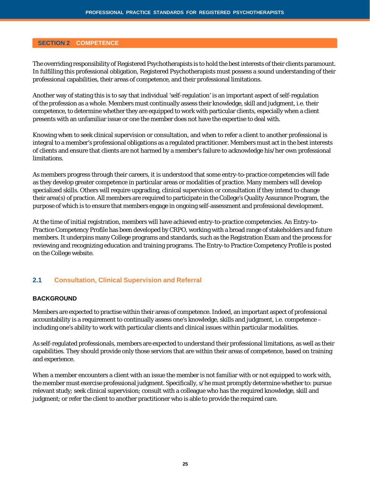#### **SECTION 2 COMPETENCE**

The overriding responsibility of Registered Psychotherapists is to hold the best interests of their clients paramount. In fulfilling this professional obligation, Registered Psychotherapists must possess a sound understanding of their professional capabilities, their areas of competence, and their professional limitations.

Another way of stating this is to say that individual 'self-regulation' is an important aspect of self-regulation of the profession as a whole. Members must continually assess their knowledge, skill and judgment, i.e. their competence, to determine whether they are equipped to work with particular clients, especially when a client presents with an unfamiliar issue or one the member does not have the expertise to deal with.

Knowing when to seek clinical supervision or consultation, and when to refer a client to another professional is integral to a member's professional obligations as a regulated practitioner. Members must act in the best interests of clients and ensure that clients are not harmed by a member's failure to acknowledge his/her own professional limitations.

As members progress through their careers, it is understood that some entry-to-practice competencies will fade as they develop greater competence in particular areas or modalities of practice. Many members will develop specialized skills. Others will require upgrading, clinical supervision or consultation if they intend to change their area(s) of practice. All members are required to participate in the College's Quality Assurance Program, the purpose of which is to ensure that members engage in ongoing self-assessment and professional development.

At the time of initial registration, members will have achieved entry-to-practice competencies. An Entry-to-Practice Competency Profile has been developed by CRPO, working with a broad range of stakeholders and future members. It underpins many College programs and standards, such as the Registration Exam and the process for reviewing and recognizing education and training programs. The Entry-to Practice Competency Profile is posted on the College website.

#### **2.1 Consultation, Clinical Supervision and Referral**

#### **BACKGROUND**

Members are expected to practise within their areas of competence. Indeed, an important aspect of professional accountability is a requirement to continually assess one's knowledge, skills and judgment, i.e. competence – including one's ability to work with particular clients and clinical issues within particular modalities.

As self-regulated professionals, members are expected to understand their professional limitations, as well as their capabilities. They should provide only those services that are within their areas of competence, based on training and experience.

When a member encounters a client with an issue the member is not familiar with or not equipped to work with, the member must exercise professional judgment. Specifically, s/he must promptly determine whether to: pursue relevant study; seek clinical supervision; consult with a colleague who has the required knowledge, skill and judgment; or refer the client to another practitioner who is able to provide the required care.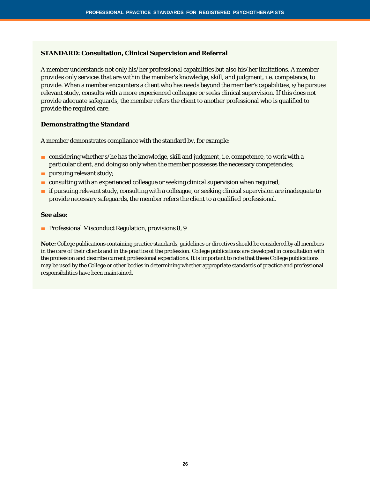#### **STANDARD: Consultation, Clinical Supervision and Referral**

A member understands not only his/her professional capabilities but also his/her limitations. A member provides only services that are within the member's knowledge, skill, and judgment, i.e. competence, to provide. When a member encounters a client who has needs beyond the member's capabilities, s/he pursues relevant study, consults with a more experienced colleague or seeks clinical supervision. If this does not provide adequate safeguards, the member refers the client to another professional who is qualified to provide the required care.

#### **Demonstrating the Standard**

A member demonstrates compliance with the standard by, for example:

- considering whether s/he has the knowledge, skill and judgment, i.e. competence, to work with a particular client, and doing so only when the member possesses the necessary competencies;
- **■** pursuing relevant study;
- consulting with an experienced colleague or seeking clinical supervision when required;
- if pursuing relevant study, consulting with a colleague, or seeking clinical supervision are inadequate to provide necessary safeguards, the member refers the client to a qualified professional.

#### **See also:**

■ Professional Misconduct Regulation, provisions 8, 9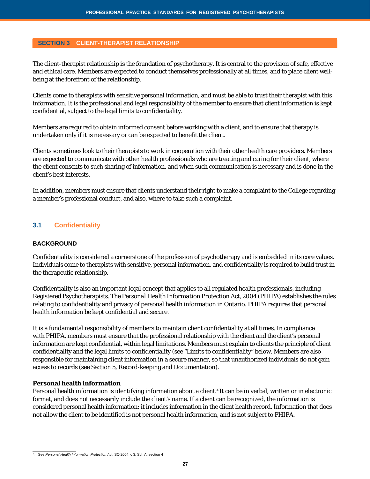#### **SECTION 3 CLIENT-THERAPIST RELATIONSHIP**

The client-therapist relationship is the foundation of psychotherapy. It is central to the provision of safe, effective and ethical care. Members are expected to conduct themselves professionally at all times, and to place client wellbeing at the forefront of the relationship.

Clients come to therapists with sensitive personal information, and must be able to trust their therapist with this information. It is the professional and legal responsibility of the member to ensure that client information is kept confidential, subject to the legal limits to confidentiality.

Members are required to obtain informed consent before working with a client, and to ensure that therapy is undertaken only if it is necessary or can be expected to benefit the client.

Clients sometimes look to their therapists to work in cooperation with their other health care providers. Members are expected to communicate with other health professionals who are treating and caring for their client, where the client consents to such sharing of information, and when such communication is necessary and is done in the client's best interests.

In addition, members must ensure that clients understand their right to make a complaint to the College regarding a member's professional conduct, and also, where to take such a complaint.

# **3.1 Confidentiality**

#### **BACKGROUND**

Confidentiality is considered a cornerstone of the profession of psychotherapy and is embedded in its core values. Individuals come to therapists with sensitive, personal information, and confidentiality is required to build trust in the therapeutic relationship.

Confidentiality is also an important legal concept that applies to all regulated health professionals, including Registered Psychotherapists. The P*ersonal Health Information Protection Act, 2004 (PHIPA)* establishes the rules relating to confidentiality and privacy of personal health information in Ontario. *PHIPA* requires that personal health information be kept confidential and secure.

It is a fundamental responsibility of members to maintain client confidentiality at all times. In compliance with *PHIPA*, members must ensure that the professional relationship with the client and the client's personal information are kept confidential, within legal limitations. Members must explain to clients the principle of client confidentiality and the legal limits to confidentiality (see "Limits to confidentiality" below. Members are also responsible for maintaining client information in a secure manner, so that unauthorized individuals do not gain access to records (see Section 5, Record-keeping and Documentation).

#### **Personal health information**

Personal health information is identifying information about a client.4 It can be in verbal, written or in electronic format, and does not necessarily include the client's name. If a client can be recognized, the information is considered personal health information; it includes information in the client health record. Information that does not allow the client to be identified is not personal health information, and is not subject to *PHIPA*.

<sup>4</sup> See *Personal Health Information Protection Ac*t, SO 2004, c 3, Sch A, section 4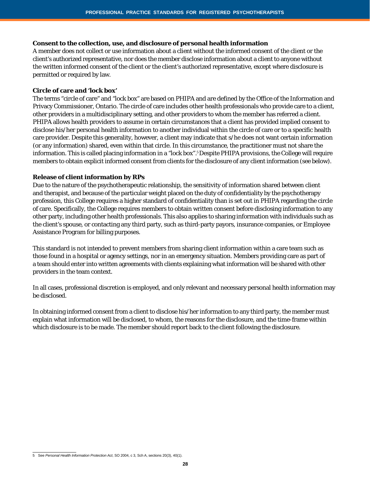#### **Consent to the collection, use, and disclosure of personal health information**

A member does not collect or use information about a client without the informed consent of the client or the client's authorized representative, nor does the member disclose information about a client to anyone without the written informed consent of the client or the client's authorized representative, except where disclosure is permitted or required by law.

#### **Circle of care and 'lock box'**

The terms "circle of care" and "lock box" are based on *PHIPA* and are defined by the Office of the Information and Privacy Commissioner, Ontario. The circle of care includes other health professionals who provide care to a client, other providers in a multidisciplinary setting, and other providers to whom the member has referred a client. *PHIPA* allows health providers to assume in certain circumstances that a client has provided implied consent to disclose his/her personal health information to another individual within the circle of care or to a specific health care provider. Despite this generality, however, a client may indicate that s/he does not want certain information (or any information) shared, even within that circle. In this circumstance, the practitioner must not share the information. This is called placing information in a "lock box". 5Despite *PHIPA* provisions, the College will require members to obtain explicit informed consent from clients for the disclosure of any client information (see below).

#### **Release of client information by RPs**

Due to the nature of the psychotherapeutic relationship, the sensitivity of information shared between client and therapist, and because of the particular weight placed on the duty of confidentiality by the psychotherapy profession, this College requires a higher standard of confidentiality than is set out in *PHIPA* regarding the circle of care. Specifically, the College requires members to obtain written consent before disclosing information to any other party, including other health professionals. This also applies to sharing information with individuals such as the client's spouse, or contacting any third party, such as third-party payors, insurance companies, or Employee Assistance Program for billing purposes.

This standard is not intended to prevent members from sharing client information within a care team such as those found in a hospital or agency settings, nor in an emergency situation. Members providing care as part of a team should enter into written agreements with clients explaining what information will be shared with other providers in the team context.

In all cases, professional discretion is employed, and only relevant and necessary personal health information may be disclosed.

In obtaining informed consent from a client to disclose his/her information to any third party, the member must explain what information will be disclosed, to whom, the reasons for the disclosure, and the time-frame within which disclosure is to be made. The member should report back to the client following the disclosure.

<sup>5</sup> See *Personal Health Information Protection Act*, SO 2004, c 3, Sch A, sections 20(3), 40(1).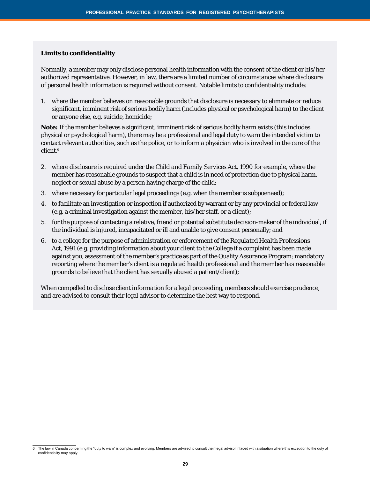#### **Limits to confidentiality**

Normally, a member may only disclose personal health information with the consent of the client or his/her authorized representative. However, in law, there are a limited number of circumstances where disclosure of personal health information is required without consent. Notable limits to confidentiality include:

1. where the member believes on reasonable grounds that disclosure is necessary to eliminate or reduce significant, imminent risk of serious bodily harm (includes physical or psychological harm) to the client or anyone else, e.g. suicide, homicide;

**Note:** If the member believes a significant, imminent risk of serious bodily harm exists (this includes physical or psychological harm), there may be a professional and legal duty to warn the intended victim to contact relevant authorities, such as the police, or to inform a physician who is involved in the care of the client.<sup>6</sup>

- 2. where disclosure is required under the *Child and Family Services Act*, 1990 for example, where the member has reasonable grounds to suspect that a child is in need of protection due to physical harm, neglect or sexual abuse by a person having charge of the child;
- 3. where necessary for particular legal proceedings (e.g. when the member is subpoenaed);
- 4. to facilitate an investigation or inspection if authorized by warrant or by any provincial or federal law (e.g. a criminal investigation against the member, his/her staff, or a client);
- 5. for the purpose of contacting a relative, friend or potential substitute decision-maker of the individual, if the individual is injured, incapacitated or ill and unable to give consent personally; and
- 6. to a college for the purpose of administration or enforcement of the *Regulated Health Professions Act, 1991* (e.g. providing information about your client to the College if a complaint has been made against you, assessment of the member's practice as part of the Quality Assurance Program; mandatory reporting where the member's client is a regulated health professional and the member has reasonable grounds to believe that the client has sexually abused a patient/client);

When compelled to disclose client information for a legal proceeding, members should exercise prudence, and are advised to consult their legal advisor to determine the best way to respond.

<sup>6</sup> The law in Canada concerning the "duty to warn" is complex and evolving. Members are advised to consult their legal advisor if faced with a situation where this exception to the duty of confidentiality may apply.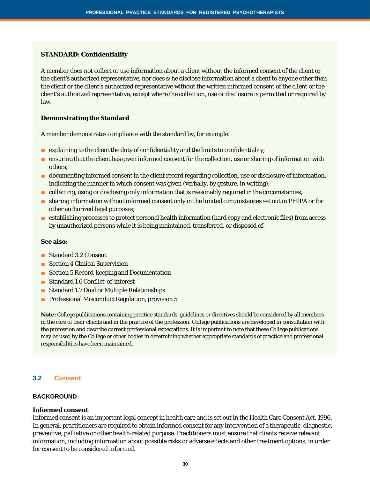#### **STANDARD: Confidentiality**

A member does not collect or use information about a client without the informed consent of the client or the client's authorized representative, nor does s/he disclose information about a client to anyone other than the client or the client's authorized representative without the written informed consent of the client or the client's authorized representative, except where the collection, use or disclosure is permitted or required by law.

#### **Demonstrating the Standard**

A member demonstrates compliance with the standard by, for example:

- explaining to the client the duty of confidentiality and the limits to confidentiality;
- ensuring that the client has given informed consent for the collection, use or sharing of information with others;
- documenting informed consent in the client record regarding collection, use or disclosure of information, indicating the manner in which consent was given (verbally, by gesture, in writing);
- collecting, using or disclosing only information that is reasonably required in the circumstances;
- sharing information without informed consent only in the limited circumstances set out in *PHIPA* or for other authorized legal purposes;
- establishing processes to protect personal health information (hard copy and electronic files) from access by unauthorized persons while it is being maintained, transferred, or disposed of.

#### **See also:**

- Standard 3.2 Consent
- Section 4 Clinical Supervision
- Section 5 Record-keeping and Documentation
- Standard 1.6 Conflict-of-interest
- Standard 1.7 Dual or Multiple Relationships
- Professional Misconduct Regulation, provision 5

**Note:** College publications containing practice standards, guidelines or directives should be considered by all members in the care of their clients and in the practice of the profession. College publications are developed in consultation with the profession and describe current professional expectations. It is important to note that these College publications may be used by the College or other bodies in determining whether appropriate standards of practice and professional responsibilities have been maintained.

#### **3.2 Consent**

#### **BACKGROUND**

#### **Informed consent**

Informed consent is an important legal concept in health care and is set out in the Health Care Consent Act, 1996. In general, practitioners are required to obtain informed consent for any intervention of a therapeutic, diagnostic, preventive, palliative or other health-related purpose. Practitioners must ensure that clients receive relevant information, including information about possible risks or adverse effects and other treatment options, in order for consent to be considered informed.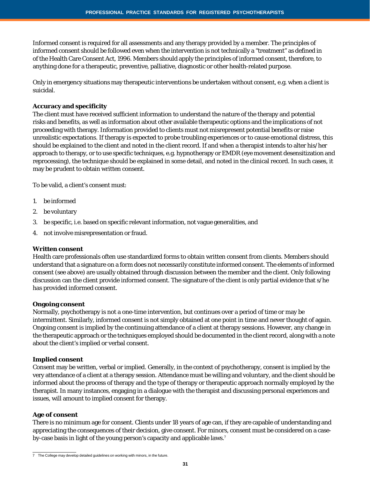Informed consent is required for all assessments and any therapy provided by a member. The principles of informed consent should be followed even when the intervention is not technically a "treatment" as defined in of the Health Care Consent Act, 1996. Members should apply the principles of informed consent, therefore, to anything done for a therapeutic, preventive, palliative, diagnostic or other health-related purpose.

Only in emergency situations may therapeutic interventions be undertaken without consent, e.g. when a client is suicidal.

#### **Accuracy and specificity**

The client must have received sufficient information to understand the nature of the therapy and potential risks and benefits, as well as information about other available therapeutic options and the implications of not proceeding with therapy. Information provided to clients must not misrepresent potential benefits or raise unrealistic expectations. If therapy is expected to probe troubling experiences or to cause emotional distress, this should be explained to the client and noted in the client record. If and when a therapist intends to alter his/her approach to therapy, or to use specific techniques, e.g. hypnotherapy or EMDR (eye movement desensitization and reprocessing), the technique should be explained in some detail, and noted in the clinical record. In such cases, it may be prudent to obtain written consent.

To be valid, a client's consent must:

- 1. be informed
- 2. be voluntary
- 3. be specific, i.e. based on specific relevant information, not vague generalities, and
- 4. not involve misrepresentation or fraud.

#### **Written consent**

Health care professionals often use standardized forms to obtain written consent from clients. Members should understand that a signature on a form does not necessarily constitute informed consent. The elements of informed consent (see above) are usually obtained through discussion between the member and the client. Only following *discussion* can the client provide informed consent. The signature of the client is only partial evidence that s/he has provided informed consent.

#### **Ongoing consent**

Normally, psychotherapy is not a one-time intervention, but continues over a period of time or may be intermittent. Similarly, informed consent is not simply obtained at one point in time and never thought of again. Ongoing consent is implied by the continuing attendance of a client at therapy sessions. However, any change in the therapeutic approach or the techniques employed should be documented in the client record, along with a note about the client's implied or verbal consent.

#### **Implied consent**

Consent may be written, verbal or implied. Generally, in the context of psychotherapy, consent is implied by the very attendance of a client at a therapy session. Attendance must be willing and voluntary, and the client should be informed about the process of therapy and the type of therapy or therapeutic approach normally employed by the therapist. In many instances, engaging in a dialogue with the therapist and discussing personal experiences and issues, will amount to implied consent for therapy.

#### **Age of consent**

There is no minimum age for consent. Clients under 18 years of age can, if they are capable of understanding and appreciating the consequences of their decision, give consent. For minors, consent must be considered on a caseby-case basis in light of the young person's capacity and applicable laws.<sup>7</sup>

<sup>7</sup> The College may develop detailed guidelines on working with minors, in the future.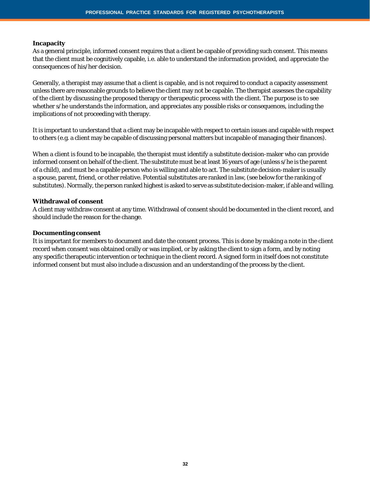#### **Incapacity**

As a general principle, informed consent requires that a client be capable of providing such consent. This means that the client must be cognitively capable, i.e. able to understand the information provided, and appreciate the consequences of his/her decision.

Generally, a therapist may assume that a client is capable, and is not required to conduct a capacity assessment unless there are reasonable grounds to believe the client may not be capable. The therapist assesses the capability of the client by discussing the proposed therapy or therapeutic process with the client. The purpose is to see whether s/he understands the information, and appreciates any possible risks or consequences, including the implications of not proceeding with therapy.

It is important to understand that a client may be incapable with respect to certain issues and capable with respect to others (e.g. a client may be capable of discussing personal matters but incapable of managing their finances).

When a client is found to be incapable, the therapist must identify a substitute decision-maker who can provide informed consent on behalf of the client. The substitute must be at least 16 years of age (unless s/he is the parent of a child), and must be a capable person who is willing and able to act. The substitute decision-maker is usually a spouse, parent, friend, or other relative. Potential substitutes are ranked in law, (see below for the ranking of substitutes). Normally, the person ranked highest is asked to serve as substitute decision-maker, if able and willing.

#### **Withdrawal of consent**

A client may withdraw consent at any time. Withdrawal of consent should be documented in the client record, and should include the reason for the change.

#### **Documenting consent**

It is important for members to document and date the consent process. This is done by making a note in the client record when consent was obtained orally or was implied, or by asking the client to sign a form, and by noting any specific therapeutic intervention or technique in the client record. A signed form in itself does not constitute informed consent but must also include a discussion and an understanding of the process by the client.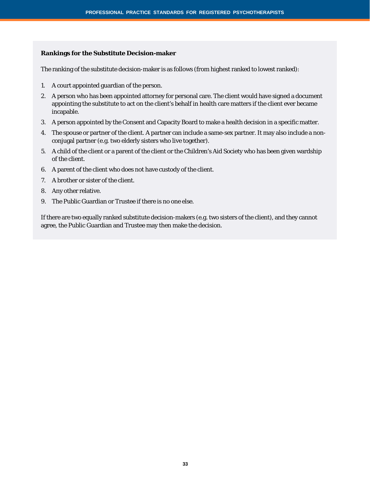#### **Rankings for the Substitute Decision-maker**

The ranking of the substitute decision-maker is as follows (from highest ranked to lowest ranked):

- 1. A court appointed guardian of the person.
- 2. A person who has been appointed attorney for personal care. The client would have signed a document appointing the substitute to act on the client's behalf in health care matters if the client ever became incapable.
- 3. A person appointed by the Consent and Capacity Board to make a health decision in a specific matter.
- 4. The spouse or partner of the client. A partner can include a same-sex partner. It may also include a nonconjugal partner (e.g. two elderly sisters who live together).
- 5. A child of the client or a parent of the client or the Children's Aid Society who has been given wardship of the client.
- 6. A parent of the client who does not have custody of the client.
- 7. A brother or sister of the client.
- 8. Any other relative.
- 9. The Public Guardian or Trustee if there is no one else.

If there are two equally ranked substitute decision-makers (e.g. two sisters of the client), and they cannot agree, the Public Guardian and Trustee may then make the decision.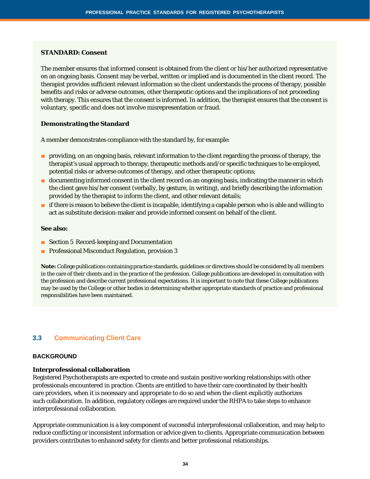#### **STANDARD: Consent**

The member ensures that informed consent is obtained from the client or his/her authorized representative on an ongoing basis. Consent may be verbal, written or implied and is documented in the client record. The therapist provides sufficient relevant information so the client understands the process of therapy, possible benefits and risks or adverse outcomes, other therapeutic options and the implications of not proceeding with therapy. This ensures that the consent is informed. In addition, the therapist ensures that the consent is voluntary, specific and does not involve misrepresentation or fraud.

#### **Demonstrating the Standard**

A member demonstrates compliance with the standard by, for example:

- providing, on an ongoing basis, relevant information to the client regarding the process of therapy, the therapist's usual approach to therapy, therapeutic methods and/or specific techniques to be employed, potential risks or adverse outcomes of therapy, and other therapeutic options;
- documenting informed consent in the client record on an ongoing basis, indicating the manner in which the client gave his/her consent (verbally, by gesture, in writing), and briefly describing the information provided by the therapist to inform the client, and other relevant details;
- if there is reason to believe the client is incapable, identifying a capable person who is able and willing to act as substitute decision-maker and provide informed consent on behalf of the client.

#### **See also:**

- Section 5 Record-keeping and Documentation
- Professional Misconduct Regulation, provision 3

**Note:** College publications containing practice standards, guidelines or directives should be considered by all members in the care of their clients and in the practice of the profession. College publications are developed in consultation with the profession and describe current professional expectations. It is important to note that these College publications may be used by the College or other bodies in determining whether appropriate standards of practice and professional responsibilities have been maintained.

# **3.3 Communicating Client Care**

#### **BACKGROUND**

#### **Interprofessional collaboration**

Registered Psychotherapists are expected to create and sustain positive working relationships with other professionals encountered in practice. Clients are entitled to have their care coordinated by their health care providers, when it is necessary and appropriate to do so and when the client explicitly authorizes such collaboration. In addition, regulatory colleges are required under the *RHPA* to take steps to enhance interprofessional collaboration.

Appropriate communication is a key component of successful interprofessional collaboration, and may help to reduce conflicting or inconsistent information or advice given to clients. Appropriate communication between providers contributes to enhanced safety for clients and better professional relationships.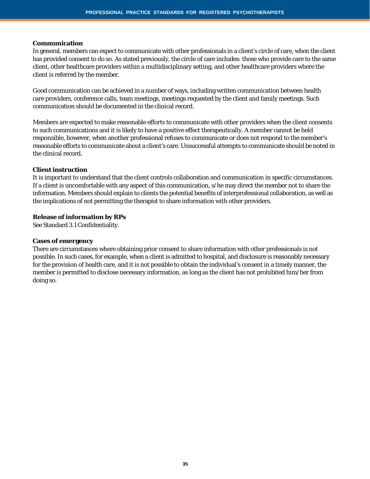#### **Communication**

In general, members can expect to communicate with other professionals in a client's circle of care, when the client has provided consent to do so. As stated previously, the circle of care includes: those who provide care to the same client, other healthcare providers within a multidisciplinary setting, and other healthcare providers where the client is referred by the member.

Good communication can be achieved in a number of ways, including written communication between health care providers, conference calls, team meetings, meetings requested by the client and family meetings. Such communication should be documented in the clinical record.

Members are expected to make reasonable efforts to communicate with other providers when the client consents to such communications and it is likely to have a positive effect therapeutically. A member cannot be held responsible, however, when another professional refuses to communicate or does not respond to the member's reasonable efforts to communicate about a client's care. Unsuccessful attempts to communicate should be noted in the clinical record.

#### **Client instruction**

It is important to understand that the client controls collaboration and communication in specific circumstances. If a client is uncomfortable with any aspect of this communication, s/he may direct the member not to share the information. Members should explain to clients the potential benefits of interprofessional collaboration, as well as the implications of not permitting the therapist to share information with other providers.

#### **Release of information by RPs**

See Standard 3.1 Confidentiality.

#### **Cases of emergency**

There are circumstances where obtaining prior consent to share information with other professionals is not possible. In such cases, for example, when a client is admitted to hospital, and disclosure is reasonably necessary for the provision of health care, and it is not possible to obtain the individual's consent in a timely manner, the member is permitted to disclose necessary information, as long as the client has not prohibited him/her from doing so.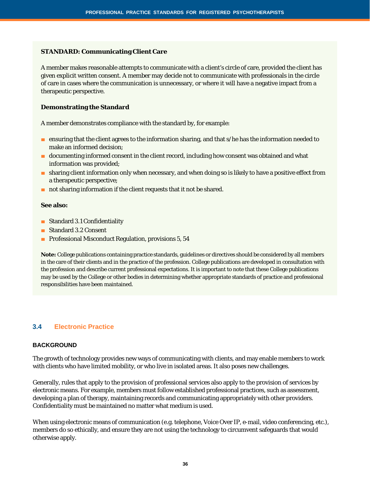#### **STANDARD: Communicating Client Care**

A member makes reasonable attempts to communicate with a client's circle of care, provided the client has given explicit written consent. A member may decide not to communicate with professionals in the circle of care in cases where the communication is unnecessary, or where it will have a negative impact from a therapeutic perspective.

#### **Demonstrating the Standard**

A member demonstrates compliance with the standard by, for example:

- ensuring that the client agrees to the information sharing, and that s/he has the information needed to make an informed decision;
- documenting informed consent in the client record, including how consent was obtained and what information was provided;
- sharing client information only when necessary, and when doing so is likely to have a positive effect from a therapeutic perspective;
- not sharing information if the client requests that it not be shared.

#### **See also:**

- Standard 3.1 Confidentiality
- Standard 3.2 Consent
- Professional Misconduct Regulation, provisions 5, 54

**Note:** College publications containing practice standards, guidelines or directives should be considered by all members in the care of their clients and in the practice of the profession. College publications are developed in consultation with the profession and describe current professional expectations. It is important to note that these College publications may be used by the College or other bodies in determining whether appropriate standards of practice and professional responsibilities have been maintained.

# **3.4 Electronic Practice**

#### **BACKGROUND**

The growth of technology provides new ways of communicating with clients, and may enable members to work with clients who have limited mobility, or who live in isolated areas. It also poses new challenges.

Generally, rules that apply to the provision of professional services also apply to the provision of services by electronic means. For example, members must follow established professional practices, such as assessment, developing a plan of therapy, maintaining records and communicating appropriately with other providers. Confidentiality must be maintained no matter what medium is used.

When using electronic means of communication (e.g. telephone, Voice Over IP, e-mail, video conferencing, etc.), members do so ethically, and ensure they are not using the technology to circumvent safeguards that would otherwise apply.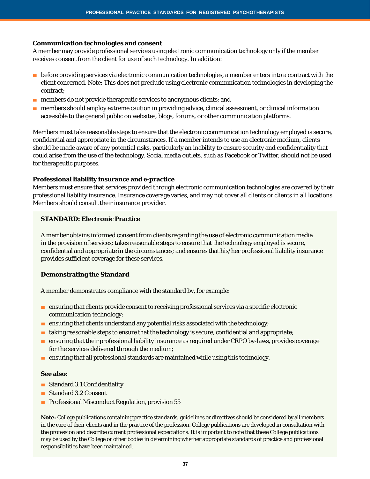#### **Communication technologies and consent**

A member may provide professional services using electronic communication technology only if the member receives consent from the client for use of such technology. In addition:

- before providing services via electronic communication technologies, a member enters into a contract with the client concerned. Note: This does not preclude using electronic communication technologies in developing the contract;
- members do not provide therapeutic services to anonymous clients; and
- members should employ extreme caution in providing advice, clinical assessment, or clinical information accessible to the general public on websites, blogs, forums, or other communication platforms.

Members must take reasonable steps to ensure that the electronic communication technology employed is secure, confidential and appropriate in the circumstances. If a member intends to use an electronic medium, clients should be made aware of any potential risks, particularly an inability to ensure security and confidentiality that could arise from the use of the technology. Social media outlets, such as Facebook or Twitter, should not be used for therapeutic purposes.

#### **Professional liability insurance and e-practice**

Members must ensure that services provided through electronic communication technologies are covered by their professional liability insurance. Insurance coverage varies, and may not cover all clients or clients in all locations. Members should consult their insurance provider.

#### **STANDARD: Electronic Practice**

A member obtains informed consent from clients regarding the use of electronic communication media in the provision of services; takes reasonable steps to ensure that the technology employed is secure, confidential and appropriate in the circumstances; and ensures that his/her professional liability insurance provides sufficient coverage for these services.

#### **Demonstrating the Standard**

A member demonstrates compliance with the standard by, for example:

- ensuring that clients provide consent to receiving professional services via a specific electronic communication technology;
- ensuring that clients understand any potential risks associated with the technology;
- taking reasonable steps to ensure that the technology is secure, confidential and appropriate;
- ensuring that their professional liability insurance as required under CRPO by-laws, provides coverage for the services delivered through the medium;
- $\blacksquare$  ensuring that all professional standards are maintained while using this technology.

#### **See also:**

- Standard 3.1 Confidentiality
- Standard 3.2 Consent
- Professional Misconduct Regulation, provision 55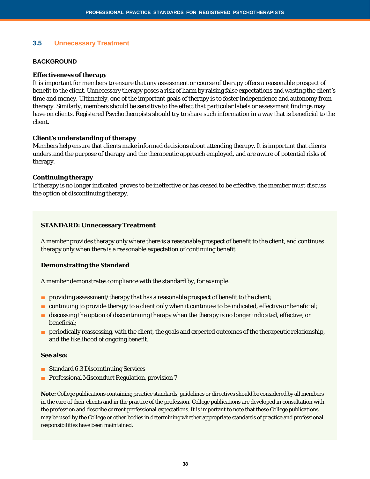# **3.5 Unnecessary Treatment**

#### **BACKGROUND**

#### **Effectiveness of therapy**

It is important for members to ensure that any assessment or course of therapy offers a reasonable prospect of benefit to the client. Unnecessary therapy poses a risk of harm by raising false expectations and wasting the client's time and money. Ultimately, one of the important goals of therapy is to foster independence and autonomy from therapy. Similarly, members should be sensitive to the effect that particular labels or assessment findings may have on clients. Registered Psychotherapists should try to share such information in a way that is beneficial to the client.

#### **Client's understanding of therapy**

Members help ensure that clients make informed decisions about attending therapy. It is important that clients understand the purpose of therapy and the therapeutic approach employed, and are aware of potential risks of therapy.

#### **Continuing therapy**

If therapy is no longer indicated, proves to be ineffective or has ceased to be effective, the member must discuss the option of discontinuing therapy.

#### **STANDARD: Unnecessary Treatment**

A member provides therapy only where there is a reasonable prospect of benefit to the client, and continues therapy only when there is a reasonable expectation of continuing benefit.

#### **Demonstrating the Standard**

A member demonstrates compliance with the standard by, for example:

- providing assessment/therapy that has a reasonable prospect of benefit to the client;
- continuing to provide therapy to a client only when it continues to be indicated, effective or beneficial;
- discussing the option of discontinuing therapy when the therapy is no longer indicated, effective, or beneficial;
- periodically reassessing, with the client, the goals and expected outcomes of the therapeutic relationship, and the likelihood of ongoing benefit.

#### **See also:**

- Standard 6.3 Discontinuing Services
- Professional Misconduct Regulation, provision 7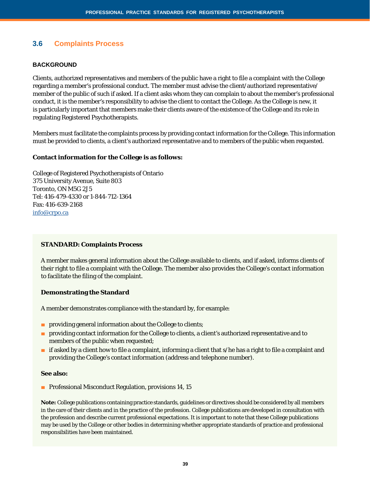# **3.6 Complaints Process**

#### **BACKGROUND**

Clients, authorized representatives and members of the public have a right to file a complaint with the College regarding a member's professional conduct. The member must advise the client/authorized representative/ member of the public of such if asked. If a client asks whom they can complain to about the member's professional conduct, it is the member's responsibility to advise the client to contact the College. As the College is new, it is particularly important that members make their clients aware of the existence of the College and its role in regulating Registered Psychotherapists.

Members must facilitate the complaints process by providing contact information for the College. This information must be provided to clients, a client's authorized representative and to members of the public when requested.

#### **Contact information for the College is as follows:**

College of Registered Psychotherapists of Ontario 375 University Avenue, Suite 803 Toronto, ON M5G 2J5 Tel: 416-479-4330 or 1-844-712-1364 Fax: 416-639-2168 [info@crpo.ca](mailto:info@crpo.ca)

#### **STANDARD: Complaints Process**

A member makes general information about the College available to clients, and if asked, informs clients of their right to file a complaint with the College. The member also provides the College's contact information to facilitate the filing of the complaint.

#### **Demonstrating the Standard**

A member demonstrates compliance with the standard by, for example:

- providing general information about the College to clients;
- providing contact information for the College to clients, a client's authorized representative and to members of the public when requested;
- if asked by a client how to file a complaint, informing a client that s/he has a right to file a complaint and providing the College's contact information (address and telephone number).

#### **See also:**

■ Professional Misconduct Regulation, provisions 14, 15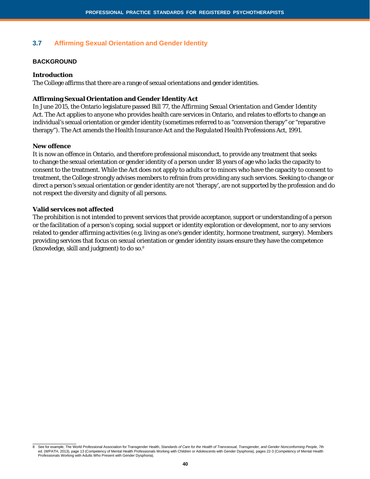# **3.7 Affirming Sexual Orientation and Gender Identity**

#### **BACKGROUND**

#### **Introduction**

The College affirms that there are a range of sexual orientations and gender identities.

#### **Affirming Sexual Orientation and Gender Identity Act**

In June 2015, the Ontario legislature passed Bill 77, the A*ffirming Sexual Orientation and Gender Identity Act*. The Act applies to anyone who provides health care services in Ontario, and relates to efforts to change an individual's sexual orientation or gender identity (sometimes referred to as "conversion therapy" or "reparative therapy"). The *Act* amends the *Health Insurance Act and the Regulated Health Professions Act, 1991*.

#### **New offence**

It is now an offence in Ontario, and therefore professional misconduct, to provide any treatment that seeks to change the sexual orientation or gender identity of a person under 18 years of age who lacks the capacity to consent to the treatment. While the Act does not apply to adults or to minors who have the capacity to consent to treatment, the College strongly advises members to refrain from providing any such services. Seeking to change or direct a person's sexual orientation or gender identity are not 'therapy', are not supported by the profession and do not respect the diversity and dignity of all persons.

#### **Valid services not affected**

The prohibition is not intended to prevent services that provide acceptance, support or understanding of a person or the facilitation of a person's coping, social support or identity exploration or development, nor to any services related to gender affirming activities (e.g. living as one's gender identity, hormone treatment, surgery). Members providing services that focus on sexual orientation or gender identity issues ensure they have the competence (knowledge, skill and judgment) to do so.8

See for example, The World Professional Association for Transgender Health, Standards of Care for the Health of Transsexual, Transgender, and Gender Nonconforming People, 7th ed. (WPATH, 2013), page 13 (Competency of Mental Health Professionals Working with Children or Adolescents with Gender Dysphoria), pages 22-3 (Competency of Mental Health<br>Professionals Working with Adults Who Present with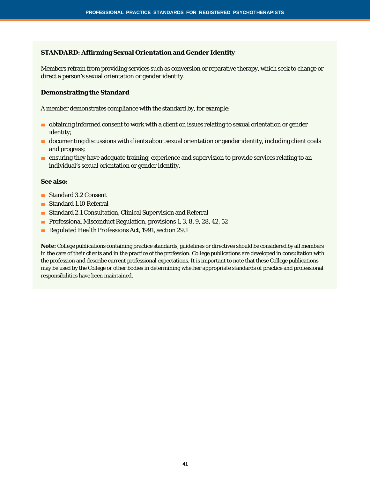#### **STANDARD: Affirming Sexual Orientation and Gender Identity**

Members refrain from providing services such as conversion or reparative therapy, which seek to change or direct a person's sexual orientation or gender identity.

#### **Demonstrating the Standard**

A member demonstrates compliance with the standard by, for example:

- obtaining informed consent to work with a client on issues relating to sexual orientation or gender identity;
- documenting discussions with clients about sexual orientation or gender identity, including client goals and progress;
- ensuring they have adequate training, experience and supervision to provide services relating to an individual's sexual orientation or gender identity.

#### **See also:**

- Standard 3.2 Consent
- Standard 1.10 Referral
- Standard 2.1 Consultation, Clinical Supervision and Referral
- Professional Misconduct Regulation, provisions 1, 3, 8, 9, 28, 42, 52
- *Regulated Health Professions Act, 1991, section 29.1*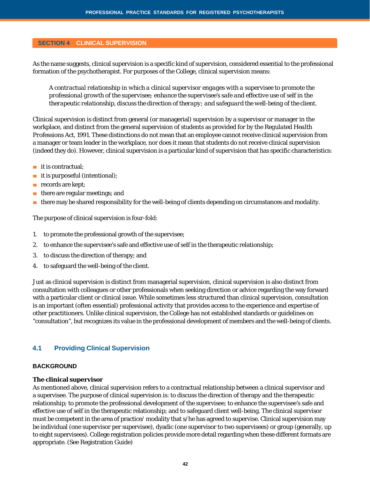#### **SECTION 4 CLINICAL SUPERVISION**

As the name suggests, clinical supervision is a specific kind of supervision, considered essential to the professional formation of the psychotherapist. For purposes of the College, clinical supervision means:

*A contractual relationship in which a clinical supervisor engages with a supervisee to promote the professional growth of the supervisee; enhance the supervisee's safe and effective use of self in the therapeutic relationship, discuss the direction of therapy; and safeguard the well-being of the client.*

Clinical supervision is distinct from general (or managerial) supervision by a supervisor or manager in the workplace, and distinct from the general supervision of students as provided for by the *Regulated Health Professions Act, 1991*. These distinctions do not mean that an employee cannot receive clinical supervision from a manager or team leader in the workplace, nor does it mean that students do not receive clinical supervision (indeed they do). However, clinical supervision is a particular kind of supervision that has specific characteristics:

- it is contractual:
- it is purposeful (intentional);
- records are kept;
- there are regular meetings; and
- there may be shared responsibility for the well-being of clients depending on circumstances and modality.

The purpose of clinical supervision is four-fold:

- 1. to promote the professional growth of the supervisee;
- 2. to enhance the supervisee's safe and effective use of self in the therapeutic relationship;
- 3. to discuss the direction of therapy; and
- 4. to safeguard the well-being of the client.

Just as clinical supervision is distinct from managerial supervision, clinical supervision is also distinct from consultation with colleagues or other professionals when seeking direction or advice regarding the way forward with a particular client or clinical issue. While sometimes less structured than clinical supervision, consultation is an important (often essential) professional activity that provides access to the experience and expertise of other practitioners. Unlike clinical supervision, the College has not established standards or guidelines on "consultation", but recognizes its value in the professional development of members and the well-being of clients.

# **4.1 Providing Clinical Supervision**

#### **BACKGROUND**

#### **The clinical supervisor**

As mentioned above, clinical supervision refers to a contractual relationship between a clinical supervisor and a supervisee. The purpose of clinical supervision is: to discuss the direction of therapy and the therapeutic relationship; to promote the professional development of the supervisee; to enhance the supervisee's safe and effective use of self in the therapeutic relationship; and to safeguard client well-being. The clinical supervisor must be competent in the area of practice/ modality that s/he has agreed to supervise. Clinical supervision may be individual (one supervisor per supervisee), dyadic (one supervisor to two supervisees) or group (generally, up to eight supervisees). College registration policies provide more detail regarding when these different formats are appropriate. (See Registration Guide)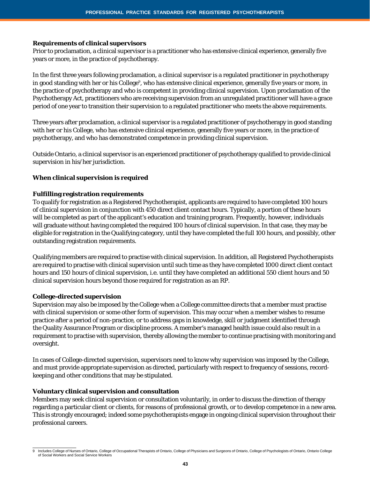#### **Requirements of clinical supervisors**

Prior to proclamation, a clinical supervisor is a practitioner who has extensive clinical experience, generally five years or more, in the practice of psychotherapy.

In the first three years following proclamation, a clinical supervisor is a regulated practitioner in psychotherapy in good standing with her or his College<sup>9</sup>, who has extensive clinical experience, generally five years or more, in the practice of psychotherapy and who is competent in providing clinical supervision. Upon proclamation of the Psychotherapy Act, practitioners who are receiving supervision from an unregulated practitioner will have a grace period of one year to transition their supervision to a regulated practitioner who meets the above requirements.

Three years after proclamation, a clinical supervisor is a regulated practitioner of psychotherapy in good standing with her or his College, who has extensive clinical experience, generally five years or more, in the practice of psychotherapy, and who has demonstrated competence in providing clinical supervision.

Outside Ontario, a clinical supervisor is an experienced practitioner of psychotherapy qualified to provide clinical supervision in his/her jurisdiction.

#### **When clinical supervision is required**

#### **Fulfilling registration requirements**

To qualify for registration as a Registered Psychotherapist, applicants are required to have completed 100 hours of clinical supervision in conjunction with 450 direct client contact hours. Typically, a portion of these hours will be completed as part of the applicant's education and training program. Frequently, however, individuals will graduate without having completed the required 100 hours of clinical supervision. In that case, they may be eligible for registration in the Qualifying category, until they have completed the full 100 hours, and possibly, other outstanding registration requirements.

Qualifying members are required to practise with clinical supervision. In addition, all Registered Psychotherapists are required to practise with clinical supervision until such time as they have completed 1000 direct client contact hours and 150 hours of clinical supervision, i.e. until they have completed an additional 550 client hours and 50 clinical supervision hours beyond those required for registration as an RP.

#### **College-directed supervision**

Supervision may also be imposed by the College when a College committee directs that a member must practise with clinical supervision or some other form of supervision. This may occur when a member wishes to resume practice after a period of non-practice, or to address gaps in knowledge, skill or judgment identified through the Quality Assurance Program or discipline process. A member's managed health issue could also result in a requirement to practise with supervision, thereby allowing the member to continue practising with monitoring and oversight.

In cases of College-directed supervision, supervisors need to know why supervision was imposed by the College, and must provide appropriate supervision as directed, particularly with respect to frequency of sessions, recordkeeping and other conditions that may be stipulated.

#### **Voluntary clinical supervision and consultation**

Members may seek clinical supervision or consultation voluntarily, in order to discuss the direction of therapy regarding a particular client or clients, for reasons of professional growth, or to develop competence in a new area. This is strongly encouraged; indeed some psychotherapists engage in ongoing clinical supervision throughout their professional careers.

<sup>9</sup> Includes College of Nurses of Ontario, College of Occupational Therapists of Ontario, College of Physicians and Surgeons of Ontario, College of Psychologists of Ontario, Ontario College of Social Workers and Social Service Workers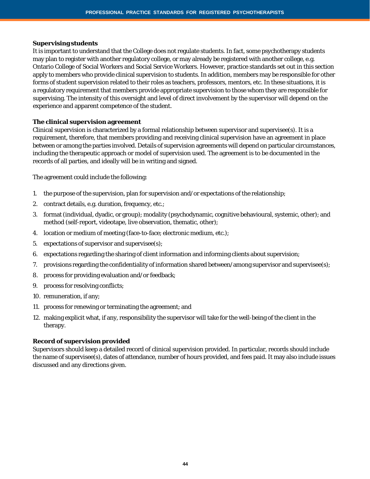#### **Supervising students**

It is important to understand that the College does not regulate students. In fact, some psychotherapy students may plan to register with another regulatory college, or may already be registered with another college, e.g. Ontario College of Social Workers and Social Service Workers. However, practice standards set out in this section apply to members who provide clinical supervision to students. In addition, members may be responsible for other forms of student supervision related to their roles as teachers, professors, mentors, etc. In these situations, it is a regulatory requirement that members provide appropriate supervision to those whom they are responsible for supervising. The intensity of this oversight and level of direct involvement by the supervisor will depend on the experience and apparent competence of the student.

#### **The clinical supervision agreement**

Clinical supervision is characterized by a formal relationship between supervisor and supervisee(s). It is a requirement, therefore, that members providing and receiving clinical supervision have an agreement in place between or among the parties involved. Details of supervision agreements will depend on particular circumstances, including the therapeutic approach or model of supervision used. The agreement is to be documented in the records of all parties, and ideally will be in writing and signed.

The agreement could include the following:

- 1. the purpose of the supervision, plan for supervision and/or expectations of the relationship;
- 2. contract details, e.g. duration, frequency, etc.;
- 3. format (individual, dyadic, or group); modality (psychodynamic, cognitive behavioural, systemic, other); and method (self-report, videotape, live observation, thematic, other);
- 4. location or medium of meeting (face-to-face; electronic medium, etc.);
- 5. expectations of supervisor and supervisee(s);
- 6. expectations regarding the sharing of client information and informing clients about supervision;
- 7. provisions regarding the confidentiality of information shared between/among supervisor and supervisee(s);
- 8. process for providing evaluation and/or feedback;
- 9. process for resolving conflicts;
- 10. remuneration, if any;
- 11. process for renewing or terminating the agreement; and
- 12. making explicit what, if any, responsibility the supervisor will take for the well-being of the client in the therapy.

#### **Record of supervision provided**

Supervisors should keep a detailed record of clinical supervision provided. In particular, records should include the name of supervisee(s), dates of attendance, number of hours provided, and fees paid. It may also include issues discussed and any directions given.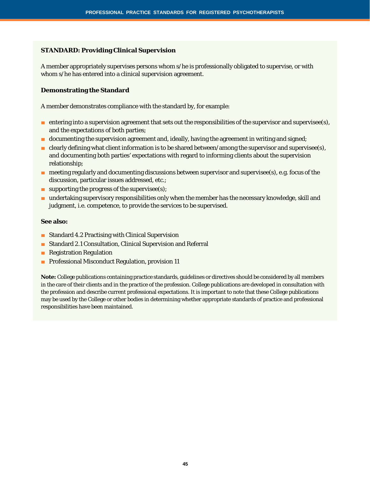#### **STANDARD: Providing Clinical Supervision**

A member appropriately supervises persons whom s/he is professionally obligated to supervise, or with whom s/he has entered into a clinical supervision agreement.

#### **Demonstrating the Standard**

A member demonstrates compliance with the standard by, for example:

- entering into a supervision agreement that sets out the responsibilities of the supervisor and supervisee(s), and the expectations of both parties;
- documenting the supervision agreement and, ideally, having the agreement in writing and signed;
- e clearly defining what client information is to be shared between/among the supervisor and supervisee(s), and documenting both parties' expectations with regard to informing clients about the supervision relationship;
- meeting regularly and documenting discussions between supervisor and supervisee(s), e.g. focus of the discussion, particular issues addressed, etc.;
- $\blacksquare$  supporting the progress of the supervisee(s);
- undertaking supervisory responsibilities only when the member has the necessary knowledge, skill and judgment, i.e. competence, to provide the services to be supervised.

#### **See also:**

- Standard 4.2 Practising with Clinical Supervision
- Standard 2.1 Consultation, Clinical Supervision and Referral
- Registration Regulation
- Professional Misconduct Regulation, provision 11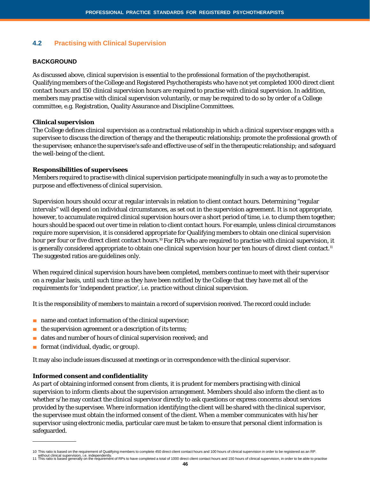# **4.2 Practising with Clinical Supervision**

#### **BACKGROUND**

As discussed above, clinical supervision is essential to the professional formation of the psychotherapist. Qualifying members of the College and Registered Psychotherapists who have not yet completed 1000 direct client contact hours and 150 clinical supervision hours are required to practise with clinical supervision. In addition, members may practise with clinical supervision voluntarily, or may be required to do so by order of a College committee, e.g. Registration, Quality Assurance and Discipline Committees.

#### **Clinical supervision**

The College defines clinical supervision as a contractual relationship in which a clinical supervisor engages with a supervisee to discuss the direction of therapy and the therapeutic relationship; promote the professional growth of the supervisee; enhance the supervisee's safe and effective use of self in the therapeutic relationship; and safeguard the well-being of the client.

#### **Responsibilities of supervisees**

Members required to practise with clinical supervision participate meaningfully in such a way as to promote the purpose and effectiveness of clinical supervision.

Supervision hours should occur at regular intervals in relation to client contact hours. Determining "regular intervals" will depend on individual circumstances, as set out in the supervision agreement. It is not appropriate, however, to accumulate required clinical supervision hours over a short period of time, i.e. to clump them together; hours should be spaced out over time in relation to client contact hours. For example, unless clinical circumstances require more supervision, it is considered appropriate for Qualifying members to obtain one clinical supervision hour per four or five direct client contact hours.<sup>10</sup> For RPs who are required to practise with clinical supervision, it is generally considered appropriate to obtain one clinical supervision hour per ten hours of direct client contact.<sup>11</sup> The suggested ratios are guidelines only.

When required clinical supervision hours have been completed, members continue to meet with their supervisor on a regular basis, until such time as they have been notified by the College that they have met all of the requirements for 'independent practice', i.e. practice without clinical supervision.

It is the responsibility of members to maintain a record of supervision received. The record could include:

- name and contact information of the clinical supervisor;
- the supervision agreement or a description of its terms;
- dates and number of hours of clinical supervision received; and
- format (individual, dyadic, or group).

It may also include issues discussed at meetings or in correspondence with the clinical supervisor.

#### **Informed consent and confidentiality**

As part of obtaining informed consent from clients, it is prudent for members practising with clinical supervision to inform clients about the supervision arrangement. Members should also inform the client as to whether s/he may contact the clinical supervisor directly to ask questions or express concerns about services provided by the supervisee. Where information identifying the client will be shared with the clinical supervisor, the supervisee *must* obtain the informed consent of the client. When a member communicates with his/her supervisor using electronic media, particular care must be taken to ensure that personal client information is safeguarded.

<sup>10</sup> This ratio is based on the requirement of Qualifying members to complete 450 direct client contact hours and 100 hours of clinical supervision in order to be registered as an RP.<br>without clinical supervision, i.e. indep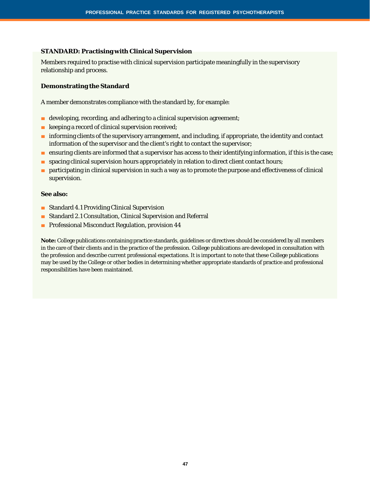#### **STANDARD: Practising with Clinical Supervision**

Members required to practise with clinical supervision participate meaningfully in the supervisory relationship and process.

#### **Demonstrating the Standard**

A member demonstrates compliance with the standard by, for example:

- developing, recording, and adhering to a clinical supervision agreement;
- keeping a record of clinical supervision received;
- informing clients of the supervisory arrangement, and including, if appropriate, the identity and contact information of the supervisor and the client's right to contact the supervisor;
- ensuring clients are informed that a supervisor has access to their identifying information, if this is the case;
- spacing clinical supervision hours appropriately in relation to direct client contact hours;
- participating in clinical supervision in such a way as to promote the purpose and effectiveness of clinical supervision.

#### **See also:**

- Standard 4.1 Providing Clinical Supervision
- Standard 2.1 Consultation, Clinical Supervision and Referral
- Professional Misconduct Regulation, provision 44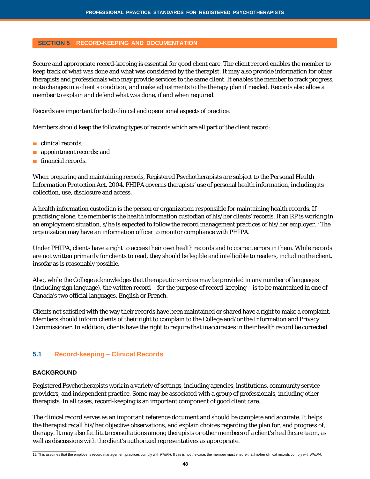#### **SECTION 5 RECORD-KEEPING AND DOCUMENTATION**

Secure and appropriate record-keeping is essential for good client care. The client record enables the member to keep track of what was done and what was considered by the therapist. It may also provide information for other therapists and professionals who may provide services to the same client. It enables the member to track progress, note changes in a client's condition, and make adjustments to the therapy plan if needed. Records also allow a member to explain and defend what was done, if and when required.

Records are important for both clinical and operational aspects of practice.

Members should keep the following types of records which are all part of the client record:

- clinical records:
- appointment records; and
- financial records.

When preparing and maintaining records, Registered Psychotherapists are subject to the *Personal Health Information Protection Act, 2004*. *PHIPA* governs therapists' use of personal health information, including its collection, use, disclosure and access.

A health information custodian is the person or organization responsible for maintaining health records. If practising alone, the member is the health information custodian of his/her clients' records. If an RP is working in an employment situation, s/he is expected to follow the record management practices of his/her employer.12 The organization may have an information officer to monitor compliance with *PHIPA*.

Under *PHIPA*, clients have a right to access their own health records and to correct errors in them. While records are not written primarily for clients to read, they should be legible and intelligible to readers, including the client, insofar as is reasonably possible.

Also, while the College acknowledges that therapeutic services may be provided in any number of languages (including sign language), the written record – for the purpose of record-keeping – is to be maintained in one of Canada's two official languages, English or French.

Clients not satisfied with the way their records have been maintained or shared have a right to make a complaint. Members should inform clients of their right to complain to the College and/or the Information and Privacy Commissioner. In addition, clients have the right to require that inaccuracies in their health record be corrected.

# **5.1 Record-keeping – Clinical Records**

#### **BACKGROUND**

Registered Psychotherapists work in a variety of settings, including agencies, institutions, community service providers, and independent practice. Some may be associated with a group of professionals, including other therapists. In all cases, record-keeping is an important component of good client care.

The clinical record serves as an important reference document and should be complete and accurate. It helps the therapist recall his/her objective observations, and explain choices regarding the plan for, and progress of, therapy. It may also facilitate consultations among therapists or other members of a client's healthcare team, as well as discussions with the client's authorized representatives as appropriate.

<sup>12</sup> This assumes that the employer's record management practices comply with *PHIPA*. If this is not the case, the member must ensure that his/her clinical records comply with *PHIPA*.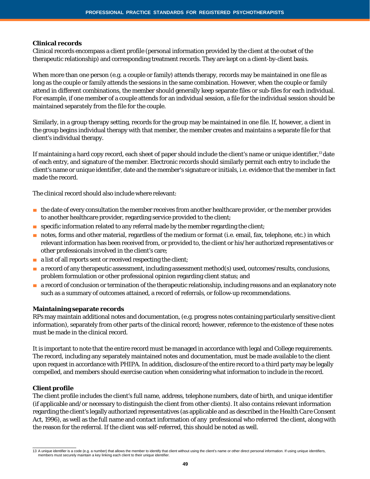#### **Clinical records**

Clinical records encompass a client profile (personal information provided by the client at the outset of the therapeutic relationship) and corresponding treatment records. They are kept on a client-by-client basis.

When more than one person (e.g. a couple or family) attends therapy, records may be maintained in one file as long as the couple or family attends the sessions in the same combination. However, when the couple or family attend in different combinations, the member should generally keep separate files or sub-files for each individual. For example, if one member of a couple attends for an individual session, a file for the individual session should be maintained separately from the file for the couple.

Similarly, in a group therapy setting, records for the group may be maintained in one file. If, however, a client in the group begins individual therapy with that member, the member creates and maintains a separate file for that client's individual therapy.

If maintaining a hard copy record, each sheet of paper should include the client's name or unique identifier,<sup>13</sup> date of each entry, and signature of the member. Electronic records should similarly permit each entry to include the client's name or unique identifier, date and the member's signature or initials, i.e. evidence that the member in fact made the record.

The clinical record should also include where relevant:

- the date of every consultation the member receives from another healthcare provider, or the member provides to another healthcare provider, regarding service provided to the client;
- specific information related to any referral made by the member regarding the client;
- notes, forms and other material, regardless of the medium or format (i.e. email, fax, telephone, etc.) in which relevant information has been received from, or provided to, the client or his/her authorized representatives or other professionals involved in the client's care;
- a list of all reports sent or received respecting the client;
- a record of any therapeutic assessment, including assessment method(s) used, outcomes/results, conclusions, problem formulation or other professional opinion regarding client status; and
- a record of conclusion or termination of the therapeutic relationship, including reasons and an explanatory note such as a summary of outcomes attained, a record of referrals, or follow-up recommendations.

#### **Maintaining separate records**

RPs may maintain additional notes and documentation, (e.g. progress notes containing particularly sensitive client information), separately from other parts of the clinical record; however, reference to the existence of these notes must be made in the clinical record.

It is important to note that the entire record must be managed in accordance with legal and College requirements. The record, including any separately maintained notes and documentation, must be made available to the client upon request in accordance with *PHIPA*. In addition, disclosure of the entire record to a third party may be legally compelled, and members should exercise caution when considering what information to include in the record.

#### **Client profile**

The client profile includes the client's full name, address, telephone numbers, date of birth, and unique identifier (if applicable and/or necessary to distinguish the client from other clients). It also contains relevant information regarding the client's legally authorized representatives (as applicable and as described in the *Health Care Consent Act, 1996*), as well as the full name and contact information of any professional who referred the client, along with the reason for the referral. If the client was self-referred, this should be noted as well.

<sup>13</sup> A unique identifier is a code (e.g. a number) that allows the member to identify that client without using the client's name or other direct personal information. If using unique identifiers, members must securely maintain a key linking each client to their unique identifier.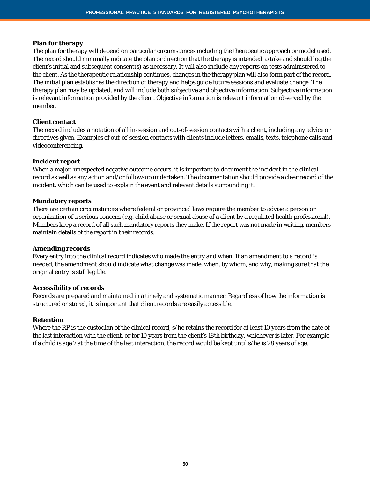#### **Plan for therapy**

The plan for therapy will depend on particular circumstances including the therapeutic approach or model used. The record should minimally indicate the plan or direction that the therapy is intended to take and should log the client's initial and subsequent consent(s) as necessary. It will also include any reports on tests administered to the client. As the therapeutic relationship continues, changes in the therapy plan will also form part of the record. The initial plan establishes the direction of therapy and helps guide future sessions and evaluate change. The therapy plan may be updated, and will include both subjective and objective information. Subjective information is relevant information provided by the client. Objective information is relevant information observed by the member.

#### **Client contact**

The record includes a notation of all in-session and out-of-session contacts with a client, including any advice or directives given. Examples of out-of-session contacts with clients include letters, emails, texts, telephone calls and videoconferencing.

#### **Incident report**

When a major, unexpected negative outcome occurs, it is important to document the incident in the clinical record as well as any action and/or follow-up undertaken. The documentation should provide a clear record of the incident, which can be used to explain the event and relevant details surrounding it.

#### **Mandatory reports**

There are certain circumstances where federal or provincial laws require the member to advise a person or organization of a serious concern (e.g. child abuse or sexual abuse of a client by a regulated health professional). Members keep a record of all such mandatory reports they make. If the report was not made in writing, members maintain details of the report in their records.

#### **Amending records**

Every entry into the clinical record indicates who made the entry and when. If an amendment to a record is needed, the amendment should indicate what change was made, when, by whom, and why, making sure that the original entry is still legible.

#### **Accessibility of records**

Records are prepared and maintained in a timely and systematic manner. Regardless of how the information is structured or stored, it is important that client records are easily accessible.

#### **Retention**

Where the RP is the custodian of the clinical record, s/he retains the record for at least 10 years from the date of the last interaction with the client, or for 10 years from the client's 18th birthday, whichever is later. For example, if a child is age 7 at the time of the last interaction, the record would be kept until s/he is 28 years of age.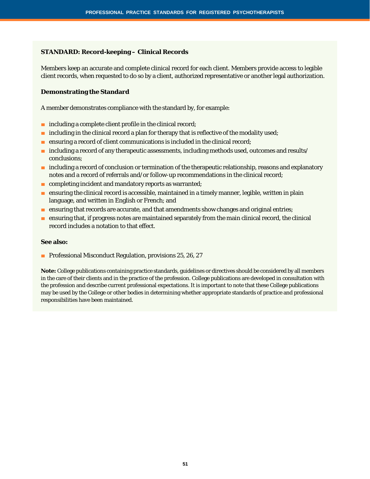#### **STANDARD: Record-keeping – Clinical Records**

Members keep an accurate and complete clinical record for each client. Members provide access to legible client records, when requested to do so by a client, authorized representative or another legal authorization.

#### **Demonstrating the Standard**

A member demonstrates compliance with the standard by, for example:

- including a complete client profile in the clinical record;
- including in the clinical record a plan for therapy that is reflective of the modality used;
- ensuring a record of client communications is included in the clinical record;
- including a record of any therapeutic assessments, including methods used, outcomes and results/ conclusions;
- including a record of conclusion or termination of the therapeutic relationship, reasons and explanatory notes and a record of referrals and/or follow-up recommendations in the clinical record;
- completing incident and mandatory reports as warranted;
- ensuring the clinical record is accessible, maintained in a timely manner, legible, written in plain language, and written in English or French; and
- ensuring that records are accurate, and that amendments show changes and original entries;
- ensuring that, if progress notes are maintained separately from the main clinical record, the clinical record includes a notation to that effect.

#### **See also:**

■ Professional Misconduct Regulation, provisions 25, 26, 27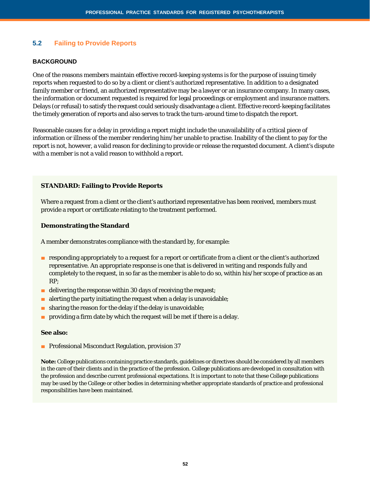# **5.2 Failing to Provide Reports**

#### **BACKGROUND**

One of the reasons members maintain effective record-keeping systems is for the purpose of issuing timely reports when requested to do so by a client or client's authorized representative. In addition to a designated family member or friend, an authorized representative may be a lawyer or an insurance company. In many cases, the information or document requested is required for legal proceedings or employment and insurance matters. Delays (or refusal) to satisfy the request could seriously disadvantage a client. Effective record-keeping facilitates the timely generation of reports and also serves to track the turn-around time to dispatch the report.

Reasonable causes for a delay in providing a report might include the unavailability of a critical piece of information or illness of the member rendering him/her unable to practise. Inability of the client to pay for the report is not, however, a valid reason for declining to provide or release the requested document. A client's dispute with a member is not a valid reason to withhold a report.

#### **STANDARD: Failing to Provide Reports**

Where a request from a client or the client's authorized representative has been received, members must provide a report or certificate relating to the treatment performed.

#### **Demonstrating the Standard**

A member demonstrates compliance with the standard by, for example:

- responding appropriately to a request for a report or certificate from a client or the client's authorized representative. An appropriate response is one that is delivered in writing and responds fully and completely to the request, in so far as the member is able to do so, within his/her scope of practice as an RP;
- $\blacksquare$  delivering the response within 30 days of receiving the request;
- alerting the party initiating the request when a delay is unavoidable;
- sharing the reason for the delay if the delay is unavoidable;
- providing a firm date by which the request will be met if there is a delay.

#### **See also:**

■ Professional Misconduct Regulation, provision 37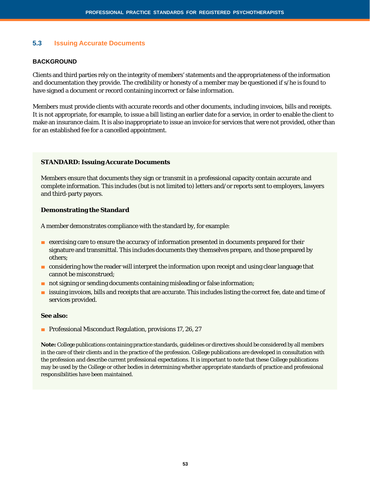#### **5.3 Issuing Accurate Documents**

#### **BACKGROUND**

Clients and third parties rely on the integrity of members' statements and the appropriateness of the information and documentation they provide. The credibility or honesty of a member may be questioned if s/he is found to have signed a document or record containing incorrect or false information.

Members must provide clients with accurate records and other documents, including invoices, bills and receipts. It is not appropriate, for example, to issue a bill listing an earlier date for a service, in order to enable the client to make an insurance claim. It is also inappropriate to issue an invoice for services that were not provided, other than for an established fee for a cancelled appointment.

#### **STANDARD: Issuing Accurate Documents**

Members ensure that documents they sign or transmit in a professional capacity contain accurate and complete information. This includes (but is not limited to) letters and/or reports sent to employers, lawyers and third-party payors.

#### **Demonstrating the Standard**

A member demonstrates compliance with the standard by, for example:

- exercising care to ensure the accuracy of information presented in documents prepared for their signature and transmittal. This includes documents they themselves prepare, and those prepared by others;
- considering how the reader will interpret the information upon receipt and using clear language that cannot be misconstrued;
- not signing or sending documents containing misleading or false information;
- issuing invoices, bills and receipts that are accurate. This includes listing the correct fee, date and time of services provided.

#### **See also:**

■ Professional Misconduct Regulation, provisions 17, 26, 27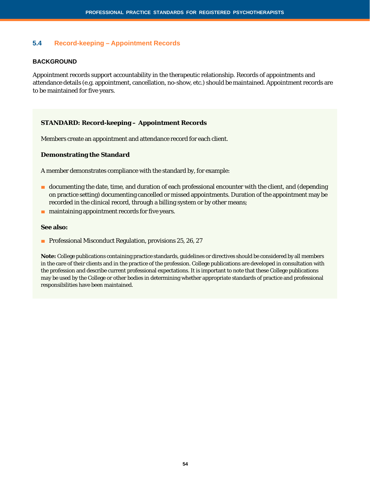# **5.4 Record-keeping – Appointment Records**

#### **BACKGROUND**

Appointment records support accountability in the therapeutic relationship. Records of appointments and attendance details (e.g. appointment, cancellation, no-show, etc.) should be maintained. Appointment records are to be maintained for five years.

#### **STANDARD: Record-keeping – Appointment Records**

Members create an appointment and attendance record for each client.

#### **Demonstrating the Standard**

A member demonstrates compliance with the standard by, for example:

- documenting the date, time, and duration of each professional encounter with the client, and (depending on practice setting) documenting cancelled or missed appointments. Duration of the appointment may be recorded in the clinical record, through a billing system or by other means;
- maintaining appointment records for five years.

#### **See also:**

■ Professional Misconduct Regulation, provisions 25, 26, 27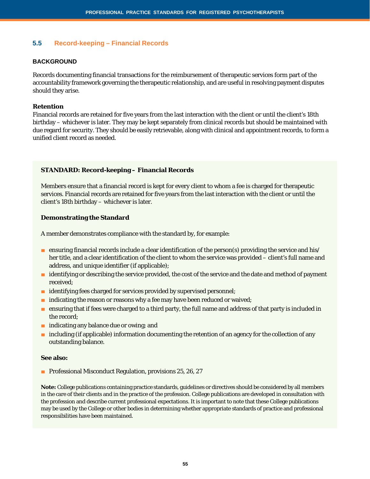# **5.5 Record-keeping – Financial Records**

#### **BACKGROUND**

Records documenting financial transactions for the reimbursement of therapeutic services form part of the accountability framework governing the therapeutic relationship, and are useful in resolving payment disputes should they arise.

#### **Retention**

Financial records are retained for five years from the last interaction with the client or until the client's 18th birthday – whichever is later. They may be kept separately from clinical records but should be maintained with due regard for security. They should be easily retrievable, along with clinical and appointment records, to form a unified client record as needed.

#### **STANDARD: Record-keeping – Financial Records**

Members ensure that a financial record is kept for every client to whom a fee is charged for therapeutic services. Financial records are retained for five years from the last interaction with the client or until the client's 18th birthday – whichever is later.

#### **Demonstrating the Standard**

A member demonstrates compliance with the standard by, for example:

- ensuring financial records include a clear identification of the person(s) providing the service and his/ her title, and a clear identification of the client to whom the service was provided – client's full name and address, and unique identifier (if applicable);
- identifying or describing the service provided, the cost of the service and the date and method of payment received;
- identifying fees charged for services provided by supervised personnel;
- indicating the reason or reasons why a fee may have been reduced or waived;
- ensuring that if fees were charged to a third party, the full name and address of that party is included in the record;
- indicating any balance due or owing; and
- including (if applicable) information documenting the retention of an agency for the collection of any outstanding balance.

#### **See also:**

■ Professional Misconduct Regulation, provisions 25, 26, 27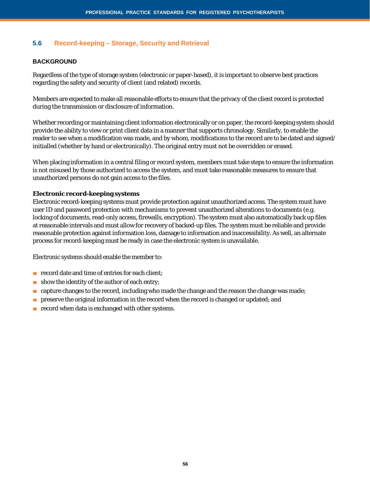# **5.6 Record-keeping – Storage, Security and Retrieval**

#### **BACKGROUND**

Regardless of the type of storage system (electronic or paper-based), it is important to observe best practices regarding the safety and security of client (and related) records.

Members are expected to make all reasonable efforts to ensure that the privacy of the client record is protected during the transmission or disclosure of information.

Whether recording or maintaining client information electronically or on paper, the record-keeping system should provide the ability to view or print client data in a manner that supports chronology. Similarly, to enable the reader to see when a modification was made, and by whom, modifications to the record are to be dated and signed/ initialled (whether by hand or electronically). The original entry must not be overridden or erased.

When placing information in a central filing or record system, members must take steps to ensure the information is not misused by those authorized to access the system, and must take reasonable measures to ensure that unauthorized persons do not gain access to the files.

#### **Electronic record-keeping systems**

Electronic record-keeping systems must provide protection against unauthorized access. The system must have user ID and password protection with mechanisms to prevent unauthorized alterations to documents (e.g. locking of documents, read-only access, firewalls, encryption). The system must also automatically back up files at reasonable intervals and must allow for recovery of backed-up files. The system must be reliable and provide reasonable protection against information loss, damage to information and inaccessibility. As well, an alternate process for record-keeping must be ready in case the electronic system is unavailable.

Electronic systems should enable the member to:

- record date and time of entries for each client;
- show the identity of the author of each entry;
- capture changes to the record, including who made the change and the reason the change was made;
- preserve the original information in the record when the record is changed or updated; and
- record when data is exchanged with other systems.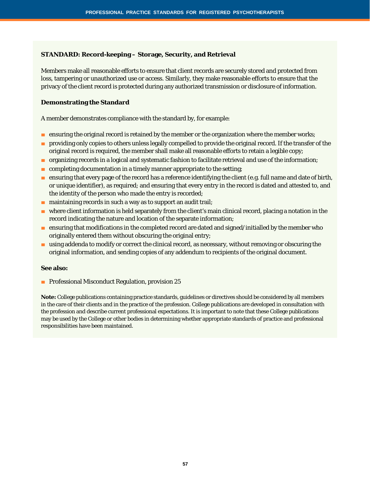# **STANDARD: Record-keeping – Storage, Security, and Retrieval**

Members make all reasonable efforts to ensure that client records are securely stored and protected from loss, tampering or unauthorized use or access. Similarly, they make reasonable efforts to ensure that the privacy of the client record is protected during any authorized transmission or disclosure of information.

#### **Demonstrating the Standard**

A member demonstrates compliance with the standard by, for example:

- ensuring the original record is retained by the member or the organization where the member works;
- providing only copies to others unless legally compelled to provide the original record. If the transfer of the original record is required, the member shall make all reasonable efforts to retain a legible copy;
- organizing records in a logical and systematic fashion to facilitate retrieval and use of the information;
- $\blacksquare$  completing documentation in a timely manner appropriate to the setting;
- ensuring that every page of the record has a reference identifying the client (e.g. full name and date of birth, or unique identifier), as required; and ensuring that every entry in the record is dated and attested to, and the identity of the person who made the entry is recorded;
- maintaining records in such a way as to support an audit trail;
- where client information is held separately from the client's main clinical record, placing a notation in the record indicating the nature and location of the separate information;
- ensuring that modifications in the completed record are dated and signed/initialled by the member who originally entered them without obscuring the original entry;
- using addenda to modify or correct the clinical record, as necessary, without removing or obscuring the original information, and sending copies of any addendum to recipients of the original document.

#### **See also:**

■ Professional Misconduct Regulation, provision 25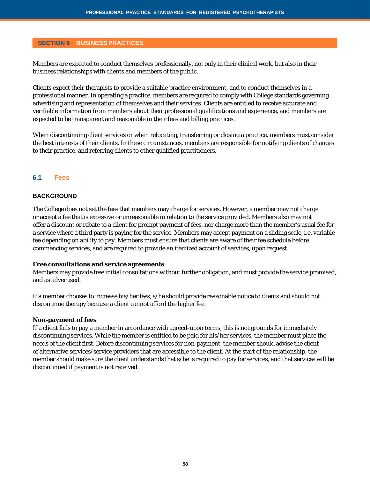#### **SECTION 6 BUSINESS PRACTICES**

Members are expected to conduct themselves professionally, not only in their clinical work, but also in their business relationships with clients and members of the public.

Clients expect their therapists to provide a suitable practice environment, and to conduct themselves in a professional manner. In operating a practice, members are required to comply with College standards governing advertising and representation of themselves and their services. Clients are entitled to receive accurate and verifiable information from members about their professional qualifications and experience, and members are expected to be transparent and reasonable in their fees and billing practices.

When discontinuing client services or when relocating, transferring or closing a practice, members must consider the best interests of their clients. In these circumstances, members are responsible for notifying clients of changes to their practice, and referring clients to other qualified practitioners.

# **6.1 Fees**

#### **BACKGROUND**

The College does not set the fees that members may charge for services. However, a member may not charge or accept a fee that is excessive or unreasonable in relation to the service provided. Members also may not offer a discount or rebate to a client for prompt payment of fees, nor charge more than the member's usual fee for a service where a third party is paying for the service. Members may accept payment on a sliding scale, i.e. variable fee depending on ability to pay. Members must ensure that clients are aware of their fee schedule before commencing services, and are required to provide an itemized account of services, upon request.

#### **Free consultations and service agreements**

Members may provide free initial consultations without further obligation, and must provide the service promised, and as advertised.

If a member chooses to increase his/her fees, s/he should provide reasonable notice to clients and should not discontinue therapy because a client cannot afford the higher fee.

#### **Non-payment of fees**

If a client fails to pay a member in accordance with agreed-upon terms, this is not grounds for immediately discontinuing services. While the member is entitled to be paid for his/her services, the member must place the needs of the client first. Before discontinuing services for non-payment, the member should advise the client of alternative services/service providers that are accessible to the client. At the start of the relationship, the member should make sure the client understands that s/he is required to pay for services, and that services will be discontinued if payment is not received.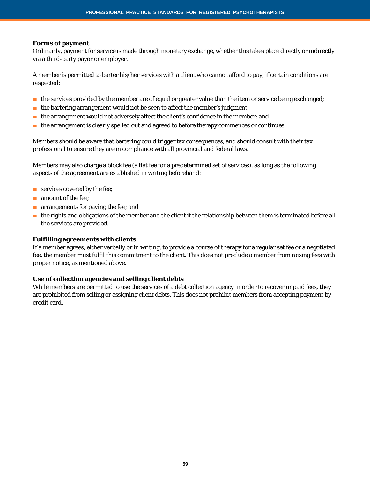#### **Forms of payment**

Ordinarily, payment for service is made through monetary exchange, whether this takes place directly or indirectly via a third-party payor or employer.

A member is permitted to barter his/her services with a client who cannot afford to pay, if certain conditions are respected:

- the services provided by the member are of equal or greater value than the item or service being exchanged;
- $\blacksquare$  the bartering arrangement would not be seen to affect the member's judgment;
- the arrangement would not adversely affect the client's confidence in the member; and
- the arrangement is clearly spelled out and agreed to before therapy commences or continues.

Members should be aware that bartering could trigger tax consequences, and should consult with their tax professional to ensure they are in compliance with all provincial and federal laws.

Members may also charge a block fee (a flat fee for a predetermined set of services), as long as the following aspects of the agreement are established in writing beforehand:

- services covered by the fee;
- amount of the fee:
- arrangements for paying the fee; and
- the rights and obligations of the member and the client if the relationship between them is terminated before all the services are provided.

#### **Fulfilling agreements with clients**

If a member agrees, either verbally or in writing, to provide a course of therapy for a regular set fee or a negotiated fee, the member must fulfil this commitment to the client. This does not preclude a member from raising fees with proper notice, as mentioned above.

#### **Use of collection agencies and selling client debts**

While members are permitted to use the services of a debt collection agency in order to recover unpaid fees, they are prohibited from selling or assigning client debts. This does not prohibit members from accepting payment by credit card.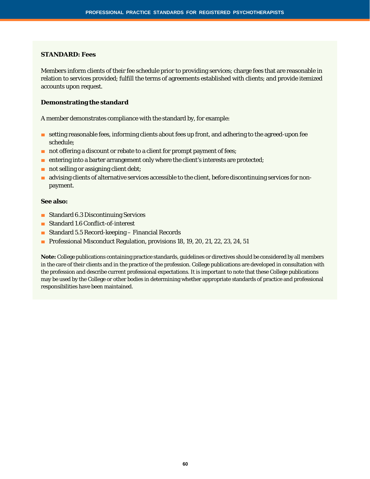#### **STANDARD: Fees**

Members inform clients of their fee schedule prior to providing services; charge fees that are reasonable in relation to services provided; fulfill the terms of agreements established with clients; and provide itemized accounts upon request.

#### **Demonstrating the standard**

A member demonstrates compliance with the standard by, for example:

- setting reasonable fees, informing clients about fees up front, and adhering to the agreed-upon fee schedule;
- not offering a discount or rebate to a client for prompt payment of fees;
- entering into a barter arrangement only where the client's interests are protected;
- not selling or assigning client debt;
- advising clients of alternative services accessible to the client, before discontinuing services for nonpayment.

#### **See also:**

- Standard 6.3 Discontinuing Services
- Standard 1.6 Conflict-of-interest
- Standard 5.5 Record-keeping Financial Records
- Professional Misconduct Regulation, provisions 18, 19, 20, 21, 22, 23, 24, 51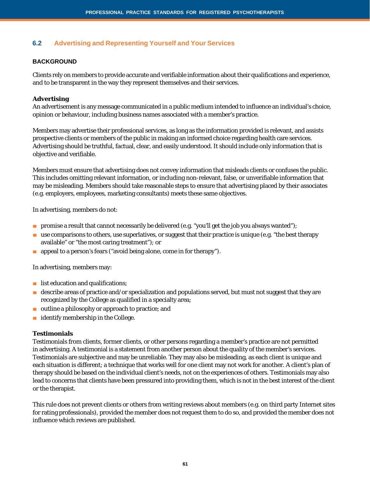# **6.2 Advertising and Representing Yourself and Your Services**

#### **BACKGROUND**

Clients rely on members to provide accurate and verifiable information about their qualifications and experience, and to be transparent in the way they represent themselves and their services.

#### **Advertising**

An advertisement is any message communicated in a public medium intended to influence an individual's choice, opinion or behaviour, including business names associated with a member's practice.

Members may advertise their professional services, as long as the information provided is relevant, and assists prospective clients or members of the public in making an informed choice regarding health care services. Advertising should be truthful, factual, clear, and easily understood. It should include only information that is objective and verifiable.

Members must ensure that advertising does not convey information that misleads clients or confuses the public. This includes omitting relevant information, or including non-relevant, false, or unverifiable information that may be misleading. Members should take reasonable steps to ensure that advertising placed by their associates (e.g. employers, employees, marketing consultants) meets these same objectives.

In advertising, members do not:

- promise a result that cannot necessarily be delivered (e.g. "you'll get the job you always wanted");
- use comparisons to others, use superlatives, or suggest that their practice is unique (e.g. "the best therapy available" or "the most caring treatment"); or
- appeal to a person's fears ("avoid being alone, come in for therapy").

In advertising, members may:

- list education and qualifications;
- describe areas of practice and/or specialization and populations served, but must not suggest that they are recognized by the College as qualified in a specialty area;
- outline a philosophy or approach to practice; and
- identify membership in the College.

#### **Testimonials**

Testimonials from clients, former clients, or other persons regarding a member's practice are not permitted in advertising. A testimonial is a statement from another person about the quality of the member's services. Testimonials are subjective and may be unreliable. They may also be misleading, as each client is unique and each situation is different; a technique that works well for one client may not work for another. A client's plan of therapy should be based on the individual client's needs, not on the experiences of others. Testimonials may also lead to concerns that clients have been pressured into providing them, which is not in the best interest of the client or the therapist.

This rule does not prevent clients or others from writing reviews about members (e.g. on third party Internet sites for rating professionals), provided the member does not request them to do so, and provided the member does not influence which reviews are published.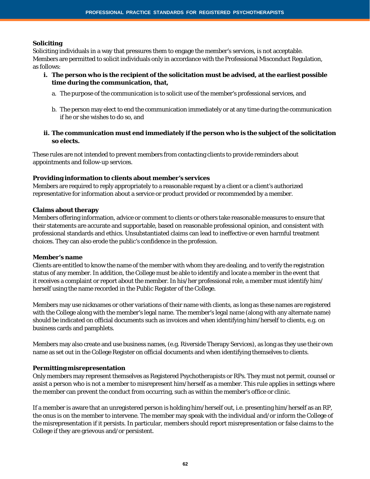# **Soliciting**

Soliciting individuals in a way that pressures them to engage the member's services, is not acceptable. Members are permitted to solicit individuals only in accordance with the Professional Misconduct Regulation, as follows:

- **i. The person who is the recipient of the solicitation must be advised, at the earliest possible time during the communication, that,**
	- a. The purpose of the communication is to solicit use of the member's professional services, and
	- b. The person may elect to end the communication immediately or at any time during the communication if he or she wishes to do so, and
- **ii. The communication must end immediately if the person who is the subject of the solicitation so elects.**

These rules are not intended to prevent members from contacting clients to provide reminders about appointments and follow-up services.

#### **Providing information to clients about member's services**

Members are required to reply appropriately to a reasonable request by a client or a client's authorized representative for information about a service or product provided or recommended by a member.

#### **Claims about therapy**

Members offering information, advice or comment to clients or others take reasonable measures to ensure that their statements are accurate and supportable, based on reasonable professional opinion, and consistent with professional standards and ethics. Unsubstantiated claims can lead to ineffective or even harmful treatment choices. They can also erode the public's confidence in the profession.

#### **Member's name**

Clients are entitled to know the name of the member with whom they are dealing, and to verify the registration status of any member. In addition, the College must be able to identify and locate a member in the event that it receives a complaint or report about the member. In his/her professional role, a member must identify him/ herself using the name recorded in the Public Register of the College.

Members may use nicknames or other variations of their name with clients, as long as these names are registered with the College along with the member's legal name. The member's legal name (along with any alternate name) should be indicated on official documents such as invoices and when identifying him/herself to clients, e.g. on business cards and pamphlets.

Members may also create and use business names, (e.g. Riverside Therapy Services), as long as they use their own name as set out in the College Register on official documents and when identifying themselves to clients.

#### **Permitting misrepresentation**

Only members may represent themselves as Registered Psychotherapists or RPs. They must not permit, counsel or assist a person who is not a member to misrepresent him/herself as a member. This rule applies in settings where the member can prevent the conduct from occurring, such as within the member's office or clinic.

If a member is aware that an unregistered person is holding him/herself out, i.e. presenting him/herself as an RP, the onus is on the member to intervene. The member may speak with the individual and/or inform the College of the misrepresentation if it persists. In particular, members should report misrepresentation or false claims to the College if they are grievous and/or persistent.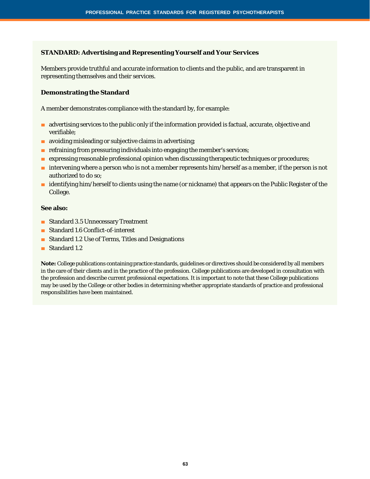#### **STANDARD: Advertising and Representing Yourself and Your Services**

Members provide truthful and accurate information to clients and the public, and are transparent in representing themselves and their services.

#### **Demonstrating the Standard**

A member demonstrates compliance with the standard by, for example:

- advertising services to the public only if the information provided is factual, accurate, objective and verifiable;
- avoiding misleading or subjective claims in advertising;
- refraining from pressuring individuals into engaging the member's services;
- expressing reasonable professional opinion when discussing therapeutic techniques or procedures;
- intervening where a person who is not a member represents him/herself as a member, if the person is not authorized to do so;
- identifying him/herself to clients using the name (or nickname) that appears on the Public Register of the College.

#### **See also:**

- Standard 3.5 Unnecessary Treatment
- Standard 1.6 Conflict-of-interest
- Standard 1.2 Use of Terms, Titles and Designations
- Standard 1.2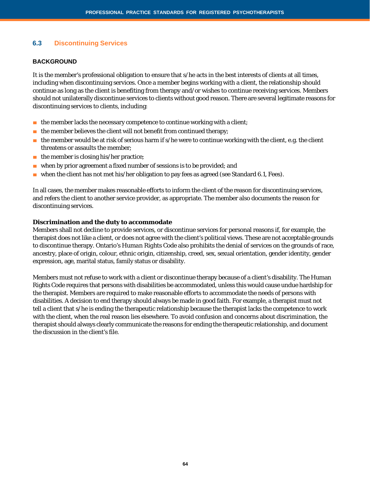# **6.3 Discontinuing Services**

#### **BACKGROUND**

It is the member's professional obligation to ensure that s/he acts in the best interests of clients at all times, including when discontinuing services. Once a member begins working with a client, the relationship should continue as long as the client is benefiting from therapy and/or wishes to continue receiving services. Members should not unilaterally discontinue services to clients without good reason. There are several legitimate reasons for discontinuing services to clients, including:

- the member lacks the necessary competence to continue working with a client;
- $\blacksquare$  the member believes the client will not benefit from continued therapy;
- $\blacksquare$  the member would be at risk of serious harm if s/he were to continue working with the client, e.g. the client threatens or assaults the member;
- the member is closing his/her practice;
- when by prior agreement a fixed number of sessions is to be provided; and
- when the client has not met his/her obligation to pay fees as agreed (see Standard 6.1, Fees).

In all cases, the member makes reasonable efforts to inform the client of the reason for discontinuing services, and refers the client to another service provider, as appropriate. The member also documents the reason for discontinuing services.

#### **Discrimination and the duty to accommodate**

Members shall not decline to provide services, or discontinue services for personal reasons if, for example, the therapist does not like a client, or does not agree with the client's political views. These are not acceptable grounds to discontinue therapy. Ontario's *Human Rights Code* also prohibits the denial of services on the grounds of race, ancestry, place of origin, colour, ethnic origin, citizenship, creed, sex, sexual orientation, gender identity, gender expression, age, marital status, family status or disability.

Members must not refuse to work with a client or discontinue therapy because of a client's disability. The Human Rights Code requires that persons with disabilities be accommodated, unless this would cause undue hardship for the therapist. Members are required to make reasonable efforts to accommodate the needs of persons with disabilities. A decision to end therapy should always be made in good faith. For example, a therapist must not tell a client that s/he is ending the therapeutic relationship because the therapist lacks the competence to work with the client, when the real reason lies elsewhere. To avoid confusion and concerns about discrimination, the therapist should always clearly communicate the reasons for ending the therapeutic relationship, and document the discussion in the client's file.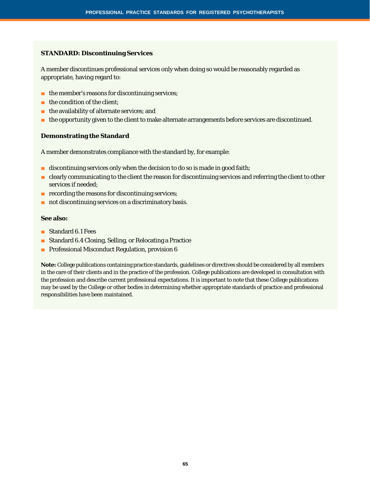#### **STANDARD: Discontinuing Services**

A member discontinues professional services only when doing so would be reasonably regarded as appropriate, having regard to:

- the member's reasons for discontinuing services;
- $\blacksquare$  the condition of the client:
- the availability of alternate services; and
- the opportunity given to the client to make alternate arrangements before services are discontinued.

#### **Demonstrating the Standard**

A member demonstrates compliance with the standard by, for example:

- discontinuing services only when the decision to do so is made in good faith;
- clearly communicating to the client the reason for discontinuing services and referring the client to other services if needed;
- recording the reasons for discontinuing services;
- not discontinuing services on a discriminatory basis.

#### **See also:**

- Standard 6.1 Fees
- Standard 6.4 Closing, Selling, or Relocating a Practice
- Professional Misconduct Regulation, provision 6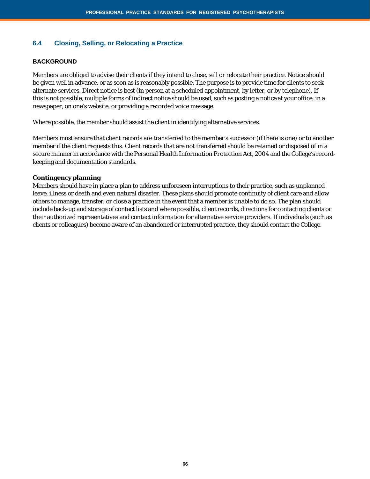# **6.4 Closing, Selling, or Relocating a Practice**

#### **BACKGROUND**

Members are obliged to advise their clients if they intend to close, sell or relocate their practice. Notice should be given well in advance, or as soon as is reasonably possible. The purpose is to provide time for clients to seek alternate services. Direct notice is best (in person at a scheduled appointment, by letter, or by telephone). If this is not possible, multiple forms of indirect notice should be used, such as posting a notice at your office, in a newspaper, on one's website, or providing a recorded voice message.

Where possible, the member should assist the client in identifying alternative services.

Members must ensure that client records are transferred to the member's successor (if there is one) or to another member if the client requests this. Client records that are not transferred should be retained or disposed of in a secure manner in accordance with the *Personal Health Information Protection Act, 2004* and the College's recordkeeping and documentation standards.

#### **Contingency planning**

Members should have in place a plan to address unforeseen interruptions to their practice, such as unplanned leave, illness or death and even natural disaster. These plans should promote continuity of client care and allow others to manage, transfer, or close a practice in the event that a member is unable to do so. The plan should include back-up and storage of contact lists and where possible, client records, directions for contacting clients or their authorized representatives and contact information for alternative service providers. If individuals (such as clients or colleagues) become aware of an abandoned or interrupted practice, they should contact the College.